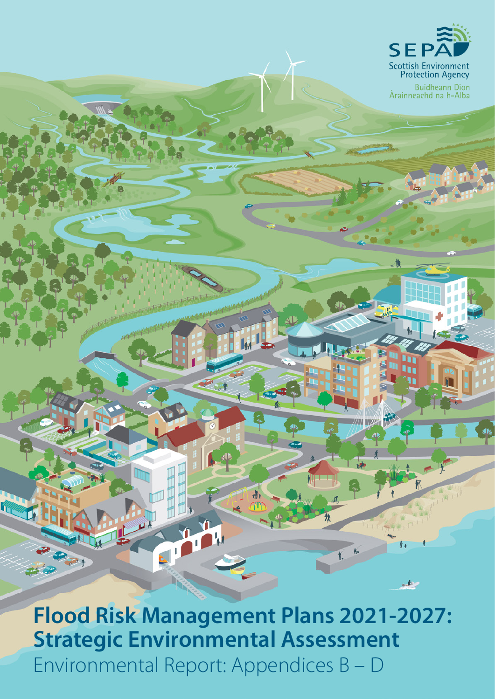

Buidheann Dìon<br>Àrainneachd na h-Alba

**Flood Risk Management Plans 2021-2027: Strategic Environmental Assessment** Environmental Report: Appendices B – D

 $\boldsymbol{\Lambda}$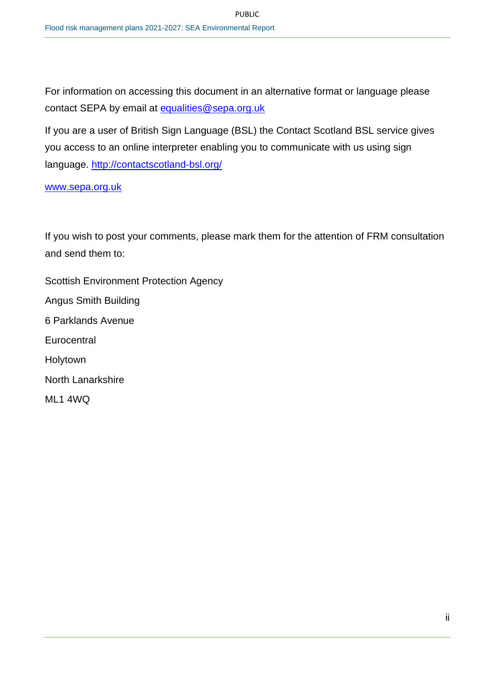For information on accessing this document in an alternative format or language please contact SEPA by email at equalities@sepa.org.uk

If you are a user of British Sign Language (BSL) the Contact Scotland BSL service gives you access to an online interpreter enabling you to communicate with us using sign language. [http://contactscotland](http://contactscotland/)[-bsl.org/](http://contactscotland-bsl.org/) 

[www.sepa.org.uk](http://www.sepa.org.uk/) 

If you wish to post your comments, please mark them for the attention of FRM consultation and send them to:

Scottish Environment Protection Agency Angus Smith Building 6 Parklands Avenue **Eurocentral** Holytown North Lanarkshire ML1 4WQ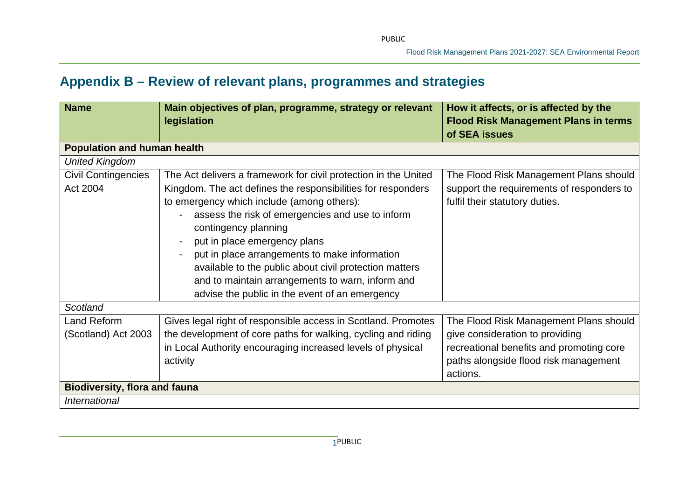# **Appendix B – Review of relevant plans, programmes and strategies**

| <b>Name</b>                               | Main objectives of plan, programme, strategy or relevant<br>legislation                                                                                                                                                                                                                                                                                                                                                                                                                                              | How it affects, or is affected by the<br><b>Flood Risk Management Plans in terms</b><br>of SEA issues                                                                      |
|-------------------------------------------|----------------------------------------------------------------------------------------------------------------------------------------------------------------------------------------------------------------------------------------------------------------------------------------------------------------------------------------------------------------------------------------------------------------------------------------------------------------------------------------------------------------------|----------------------------------------------------------------------------------------------------------------------------------------------------------------------------|
| <b>Population and human health</b>        |                                                                                                                                                                                                                                                                                                                                                                                                                                                                                                                      |                                                                                                                                                                            |
| <b>United Kingdom</b>                     |                                                                                                                                                                                                                                                                                                                                                                                                                                                                                                                      |                                                                                                                                                                            |
| <b>Civil Contingencies</b><br>Act 2004    | The Act delivers a framework for civil protection in the United<br>Kingdom. The act defines the responsibilities for responders<br>to emergency which include (among others):<br>assess the risk of emergencies and use to inform<br>$\sim$<br>contingency planning<br>put in place emergency plans<br>put in place arrangements to make information<br>available to the public about civil protection matters<br>and to maintain arrangements to warn, inform and<br>advise the public in the event of an emergency | The Flood Risk Management Plans should<br>support the requirements of responders to<br>fulfil their statutory duties.                                                      |
| Scotland                                  |                                                                                                                                                                                                                                                                                                                                                                                                                                                                                                                      |                                                                                                                                                                            |
| <b>Land Reform</b><br>(Scotland) Act 2003 | Gives legal right of responsible access in Scotland. Promotes<br>the development of core paths for walking, cycling and riding<br>in Local Authority encouraging increased levels of physical<br>activity                                                                                                                                                                                                                                                                                                            | The Flood Risk Management Plans should<br>give consideration to providing<br>recreational benefits and promoting core<br>paths alongside flood risk management<br>actions. |
| <b>Biodiversity, flora and fauna</b>      |                                                                                                                                                                                                                                                                                                                                                                                                                                                                                                                      |                                                                                                                                                                            |
| International                             |                                                                                                                                                                                                                                                                                                                                                                                                                                                                                                                      |                                                                                                                                                                            |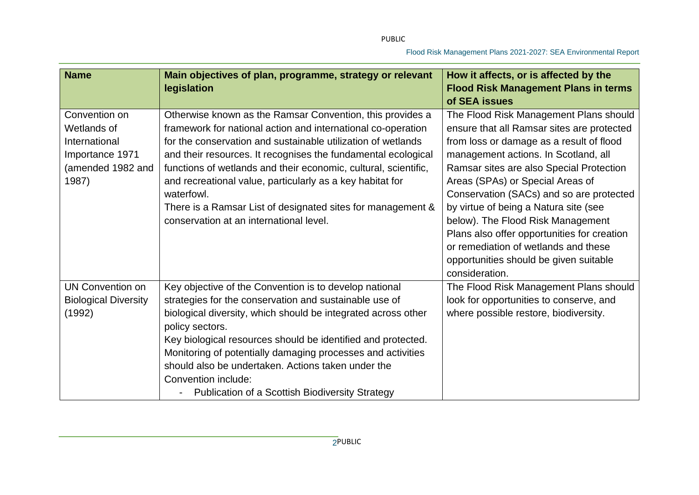| <b>Name</b>                                                                                    | Main objectives of plan, programme, strategy or relevant                                                                                                                                                                                                                                                                                                                                                                                                                                                           | How it affects, or is affected by the                                                                                                                                                                                                                                                                                                                                                                                             |
|------------------------------------------------------------------------------------------------|--------------------------------------------------------------------------------------------------------------------------------------------------------------------------------------------------------------------------------------------------------------------------------------------------------------------------------------------------------------------------------------------------------------------------------------------------------------------------------------------------------------------|-----------------------------------------------------------------------------------------------------------------------------------------------------------------------------------------------------------------------------------------------------------------------------------------------------------------------------------------------------------------------------------------------------------------------------------|
|                                                                                                | legislation                                                                                                                                                                                                                                                                                                                                                                                                                                                                                                        | <b>Flood Risk Management Plans in terms</b>                                                                                                                                                                                                                                                                                                                                                                                       |
|                                                                                                |                                                                                                                                                                                                                                                                                                                                                                                                                                                                                                                    | of SEA issues                                                                                                                                                                                                                                                                                                                                                                                                                     |
| Convention on<br>Wetlands of<br>International<br>Importance 1971<br>(amended 1982 and<br>1987) | Otherwise known as the Ramsar Convention, this provides a<br>framework for national action and international co-operation<br>for the conservation and sustainable utilization of wetlands<br>and their resources. It recognises the fundamental ecological<br>functions of wetlands and their economic, cultural, scientific,<br>and recreational value, particularly as a key habitat for<br>waterfowl.<br>There is a Ramsar List of designated sites for management &<br>conservation at an international level. | The Flood Risk Management Plans should<br>ensure that all Ramsar sites are protected<br>from loss or damage as a result of flood<br>management actions. In Scotland, all<br>Ramsar sites are also Special Protection<br>Areas (SPAs) or Special Areas of<br>Conservation (SACs) and so are protected<br>by virtue of being a Natura site (see<br>below). The Flood Risk Management<br>Plans also offer opportunities for creation |
|                                                                                                |                                                                                                                                                                                                                                                                                                                                                                                                                                                                                                                    | or remediation of wetlands and these<br>opportunities should be given suitable<br>consideration.                                                                                                                                                                                                                                                                                                                                  |
| <b>UN Convention on</b><br><b>Biological Diversity</b><br>(1992)                               | Key objective of the Convention is to develop national<br>strategies for the conservation and sustainable use of<br>biological diversity, which should be integrated across other<br>policy sectors.<br>Key biological resources should be identified and protected.<br>Monitoring of potentially damaging processes and activities<br>should also be undertaken. Actions taken under the<br>Convention include:<br><b>Publication of a Scottish Biodiversity Strategy</b>                                         | The Flood Risk Management Plans should<br>look for opportunities to conserve, and<br>where possible restore, biodiversity.                                                                                                                                                                                                                                                                                                        |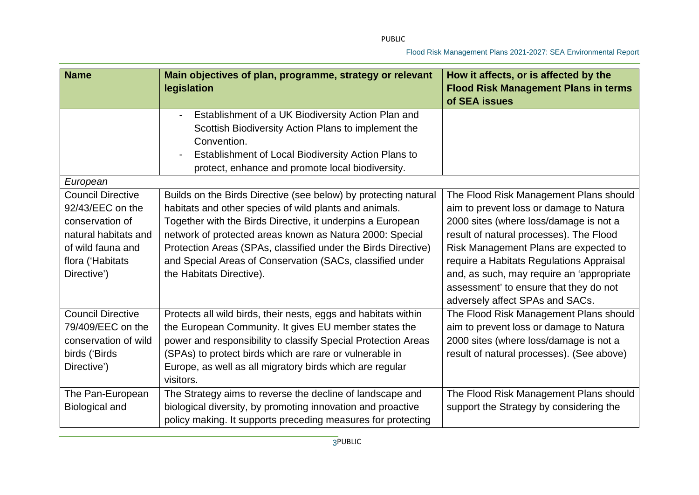| <b>Name</b>              | Main objectives of plan, programme, strategy or relevant<br><b>legislation</b> | How it affects, or is affected by the<br><b>Flood Risk Management Plans in terms</b> |
|--------------------------|--------------------------------------------------------------------------------|--------------------------------------------------------------------------------------|
|                          |                                                                                | of SEA issues                                                                        |
|                          | Establishment of a UK Biodiversity Action Plan and                             |                                                                                      |
|                          | Scottish Biodiversity Action Plans to implement the                            |                                                                                      |
|                          | Convention.                                                                    |                                                                                      |
|                          | Establishment of Local Biodiversity Action Plans to                            |                                                                                      |
|                          | protect, enhance and promote local biodiversity.                               |                                                                                      |
| European                 |                                                                                |                                                                                      |
| <b>Council Directive</b> | Builds on the Birds Directive (see below) by protecting natural                | The Flood Risk Management Plans should                                               |
| 92/43/EEC on the         | habitats and other species of wild plants and animals.                         | aim to prevent loss or damage to Natura                                              |
| conservation of          | Together with the Birds Directive, it underpins a European                     | 2000 sites (where loss/damage is not a                                               |
| natural habitats and     | network of protected areas known as Natura 2000: Special                       | result of natural processes). The Flood                                              |
| of wild fauna and        | Protection Areas (SPAs, classified under the Birds Directive)                  | Risk Management Plans are expected to                                                |
| flora ('Habitats         | and Special Areas of Conservation (SACs, classified under                      | require a Habitats Regulations Appraisal                                             |
| Directive')              | the Habitats Directive).                                                       | and, as such, may require an 'appropriate                                            |
|                          |                                                                                | assessment' to ensure that they do not                                               |
|                          |                                                                                | adversely affect SPAs and SACs.                                                      |
| <b>Council Directive</b> | Protects all wild birds, their nests, eggs and habitats within                 | The Flood Risk Management Plans should                                               |
| 79/409/EEC on the        | the European Community. It gives EU member states the                          | aim to prevent loss or damage to Natura                                              |
| conservation of wild     | power and responsibility to classify Special Protection Areas                  | 2000 sites (where loss/damage is not a                                               |
| birds ('Birds            | (SPAs) to protect birds which are rare or vulnerable in                        | result of natural processes). (See above)                                            |
| Directive')              | Europe, as well as all migratory birds which are regular                       |                                                                                      |
|                          | visitors.                                                                      |                                                                                      |
| The Pan-European         | The Strategy aims to reverse the decline of landscape and                      | The Flood Risk Management Plans should                                               |
| <b>Biological and</b>    | biological diversity, by promoting innovation and proactive                    | support the Strategy by considering the                                              |
|                          | policy making. It supports preceding measures for protecting                   |                                                                                      |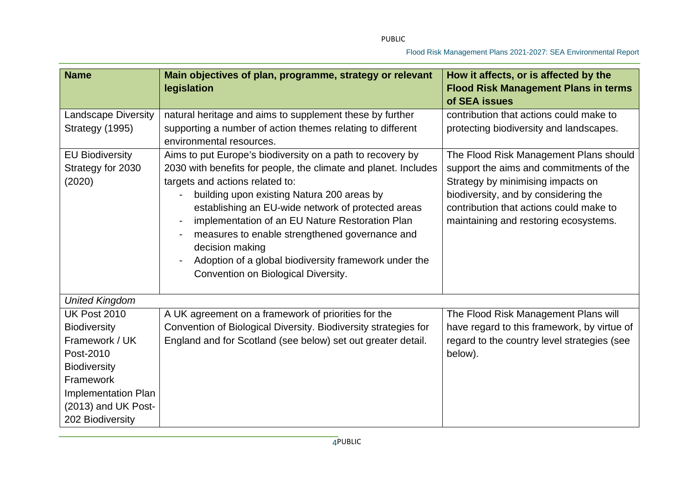| <b>Name</b>                                           | Main objectives of plan, programme, strategy or relevant<br>legislation                                                                                                                                                                                                                                                                                                                                                                                                                      | How it affects, or is affected by the<br><b>Flood Risk Management Plans in terms</b><br>of SEA issues                                                                                                                                              |
|-------------------------------------------------------|----------------------------------------------------------------------------------------------------------------------------------------------------------------------------------------------------------------------------------------------------------------------------------------------------------------------------------------------------------------------------------------------------------------------------------------------------------------------------------------------|----------------------------------------------------------------------------------------------------------------------------------------------------------------------------------------------------------------------------------------------------|
| <b>Landscape Diversity</b>                            | natural heritage and aims to supplement these by further                                                                                                                                                                                                                                                                                                                                                                                                                                     | contribution that actions could make to                                                                                                                                                                                                            |
| Strategy (1995)                                       | supporting a number of action themes relating to different<br>environmental resources.                                                                                                                                                                                                                                                                                                                                                                                                       | protecting biodiversity and landscapes.                                                                                                                                                                                                            |
| <b>EU Biodiversity</b><br>Strategy for 2030<br>(2020) | Aims to put Europe's biodiversity on a path to recovery by<br>2030 with benefits for people, the climate and planet. Includes<br>targets and actions related to:<br>building upon existing Natura 200 areas by<br>establishing an EU-wide network of protected areas<br>implementation of an EU Nature Restoration Plan<br>measures to enable strengthened governance and<br>decision making<br>Adoption of a global biodiversity framework under the<br>Convention on Biological Diversity. | The Flood Risk Management Plans should<br>support the aims and commitments of the<br>Strategy by minimising impacts on<br>biodiversity, and by considering the<br>contribution that actions could make to<br>maintaining and restoring ecosystems. |
| <b>United Kingdom</b>                                 |                                                                                                                                                                                                                                                                                                                                                                                                                                                                                              |                                                                                                                                                                                                                                                    |
| <b>UK Post 2010</b>                                   | A UK agreement on a framework of priorities for the                                                                                                                                                                                                                                                                                                                                                                                                                                          | The Flood Risk Management Plans will                                                                                                                                                                                                               |
| <b>Biodiversity</b>                                   | Convention of Biological Diversity. Biodiversity strategies for                                                                                                                                                                                                                                                                                                                                                                                                                              | have regard to this framework, by virtue of                                                                                                                                                                                                        |
| Framework / UK                                        | England and for Scotland (see below) set out greater detail.                                                                                                                                                                                                                                                                                                                                                                                                                                 | regard to the country level strategies (see                                                                                                                                                                                                        |
| Post-2010                                             |                                                                                                                                                                                                                                                                                                                                                                                                                                                                                              | below).                                                                                                                                                                                                                                            |
| <b>Biodiversity</b>                                   |                                                                                                                                                                                                                                                                                                                                                                                                                                                                                              |                                                                                                                                                                                                                                                    |
| Framework                                             |                                                                                                                                                                                                                                                                                                                                                                                                                                                                                              |                                                                                                                                                                                                                                                    |
| Implementation Plan                                   |                                                                                                                                                                                                                                                                                                                                                                                                                                                                                              |                                                                                                                                                                                                                                                    |
| (2013) and UK Post-                                   |                                                                                                                                                                                                                                                                                                                                                                                                                                                                                              |                                                                                                                                                                                                                                                    |
| 202 Biodiversity                                      |                                                                                                                                                                                                                                                                                                                                                                                                                                                                                              |                                                                                                                                                                                                                                                    |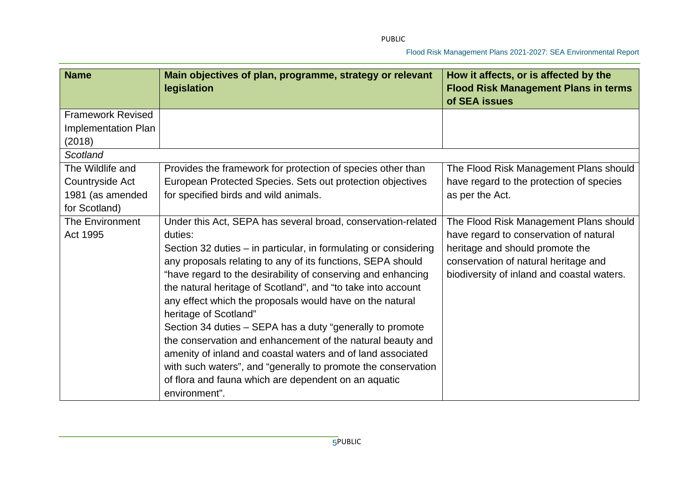| <b>Name</b>              | Main objectives of plan, programme, strategy or relevant<br>legislation | How it affects, or is affected by the<br><b>Flood Risk Management Plans in terms</b><br>of SEA issues |
|--------------------------|-------------------------------------------------------------------------|-------------------------------------------------------------------------------------------------------|
| <b>Framework Revised</b> |                                                                         |                                                                                                       |
| Implementation Plan      |                                                                         |                                                                                                       |
| (2018)<br>Scotland       |                                                                         |                                                                                                       |
| The Wildlife and         | Provides the framework for protection of species other than             | The Flood Risk Management Plans should                                                                |
| Countryside Act          | European Protected Species. Sets out protection objectives              | have regard to the protection of species                                                              |
| 1981 (as amended         | for specified birds and wild animals.                                   | as per the Act.                                                                                       |
| for Scotland)            |                                                                         |                                                                                                       |
| The Environment          | Under this Act, SEPA has several broad, conservation-related            | The Flood Risk Management Plans should                                                                |
| Act 1995                 | duties:                                                                 | have regard to conservation of natural                                                                |
|                          | Section 32 duties - in particular, in formulating or considering        | heritage and should promote the                                                                       |
|                          | any proposals relating to any of its functions, SEPA should             | conservation of natural heritage and                                                                  |
|                          | "have regard to the desirability of conserving and enhancing            | biodiversity of inland and coastal waters.                                                            |
|                          | the natural heritage of Scotland", and "to take into account            |                                                                                                       |
|                          | any effect which the proposals would have on the natural                |                                                                                                       |
|                          | heritage of Scotland"                                                   |                                                                                                       |
|                          | Section 34 duties - SEPA has a duty "generally to promote               |                                                                                                       |
|                          | the conservation and enhancement of the natural beauty and              |                                                                                                       |
|                          | amenity of inland and coastal waters and of land associated             |                                                                                                       |
|                          | with such waters", and "generally to promote the conservation           |                                                                                                       |
|                          | of flora and fauna which are dependent on an aquatic<br>environment".   |                                                                                                       |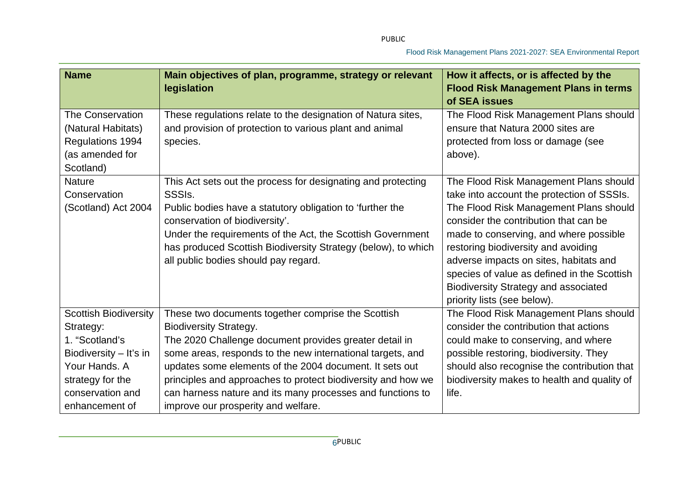| <b>Name</b>                                                                                                                                                      | Main objectives of plan, programme, strategy or relevant<br>legislation                                                                                                                                                                                                                                                                                                                                                                     | How it affects, or is affected by the<br><b>Flood Risk Management Plans in terms</b><br>of SEA issues                                                                                                                                                                                                                                                                                                                           |
|------------------------------------------------------------------------------------------------------------------------------------------------------------------|---------------------------------------------------------------------------------------------------------------------------------------------------------------------------------------------------------------------------------------------------------------------------------------------------------------------------------------------------------------------------------------------------------------------------------------------|---------------------------------------------------------------------------------------------------------------------------------------------------------------------------------------------------------------------------------------------------------------------------------------------------------------------------------------------------------------------------------------------------------------------------------|
| The Conservation<br>(Natural Habitats)<br>Regulations 1994<br>(as amended for<br>Scotland)                                                                       | These regulations relate to the designation of Natura sites,<br>and provision of protection to various plant and animal<br>species.                                                                                                                                                                                                                                                                                                         | The Flood Risk Management Plans should<br>ensure that Natura 2000 sites are<br>protected from loss or damage (see<br>above).                                                                                                                                                                                                                                                                                                    |
| <b>Nature</b><br>Conservation<br>(Scotland) Act 2004                                                                                                             | This Act sets out the process for designating and protecting<br>SSSI <sub>s</sub> .<br>Public bodies have a statutory obligation to 'further the<br>conservation of biodiversity'.<br>Under the requirements of the Act, the Scottish Government<br>has produced Scottish Biodiversity Strategy (below), to which<br>all public bodies should pay regard.                                                                                   | The Flood Risk Management Plans should<br>take into account the protection of SSSIs.<br>The Flood Risk Management Plans should<br>consider the contribution that can be<br>made to conserving, and where possible<br>restoring biodiversity and avoiding<br>adverse impacts on sites, habitats and<br>species of value as defined in the Scottish<br><b>Biodiversity Strategy and associated</b><br>priority lists (see below). |
| <b>Scottish Biodiversity</b><br>Strategy:<br>1. "Scotland's<br>Biodiversity - It's in<br>Your Hands. A<br>strategy for the<br>conservation and<br>enhancement of | These two documents together comprise the Scottish<br><b>Biodiversity Strategy.</b><br>The 2020 Challenge document provides greater detail in<br>some areas, responds to the new international targets, and<br>updates some elements of the 2004 document. It sets out<br>principles and approaches to protect biodiversity and how we<br>can harness nature and its many processes and functions to<br>improve our prosperity and welfare. | The Flood Risk Management Plans should<br>consider the contribution that actions<br>could make to conserving, and where<br>possible restoring, biodiversity. They<br>should also recognise the contribution that<br>biodiversity makes to health and quality of<br>life.                                                                                                                                                        |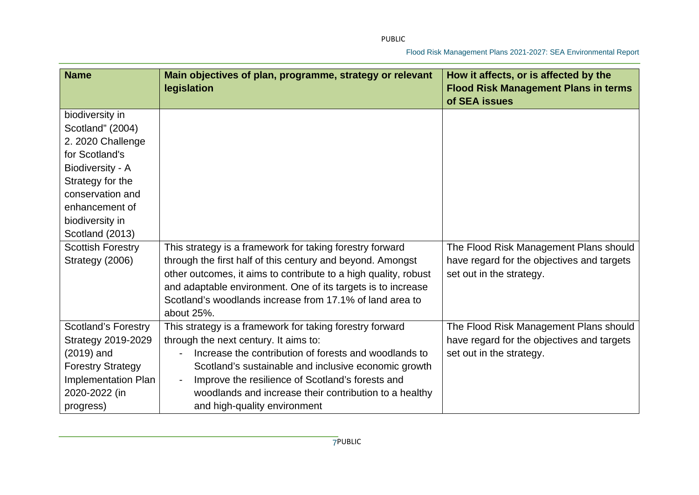| <b>Name</b>                | Main objectives of plan, programme, strategy or relevant<br>legislation | How it affects, or is affected by the<br><b>Flood Risk Management Plans in terms</b> |
|----------------------------|-------------------------------------------------------------------------|--------------------------------------------------------------------------------------|
|                            |                                                                         | of SEA issues                                                                        |
| biodiversity in            |                                                                         |                                                                                      |
| Scotland" (2004)           |                                                                         |                                                                                      |
| 2. 2020 Challenge          |                                                                         |                                                                                      |
| for Scotland's             |                                                                         |                                                                                      |
| Biodiversity - A           |                                                                         |                                                                                      |
| Strategy for the           |                                                                         |                                                                                      |
| conservation and           |                                                                         |                                                                                      |
| enhancement of             |                                                                         |                                                                                      |
| biodiversity in            |                                                                         |                                                                                      |
| Scotland (2013)            |                                                                         |                                                                                      |
| <b>Scottish Forestry</b>   | This strategy is a framework for taking forestry forward                | The Flood Risk Management Plans should                                               |
| Strategy (2006)            | through the first half of this century and beyond. Amongst              | have regard for the objectives and targets                                           |
|                            | other outcomes, it aims to contribute to a high quality, robust         | set out in the strategy.                                                             |
|                            | and adaptable environment. One of its targets is to increase            |                                                                                      |
|                            | Scotland's woodlands increase from 17.1% of land area to                |                                                                                      |
|                            | about 25%.                                                              |                                                                                      |
| <b>Scotland's Forestry</b> | This strategy is a framework for taking forestry forward                | The Flood Risk Management Plans should                                               |
| <b>Strategy 2019-2029</b>  | through the next century. It aims to:                                   | have regard for the objectives and targets                                           |
| $(2019)$ and               | Increase the contribution of forests and woodlands to                   | set out in the strategy.                                                             |
| <b>Forestry Strategy</b>   | Scotland's sustainable and inclusive economic growth                    |                                                                                      |
| Implementation Plan        | Improve the resilience of Scotland's forests and                        |                                                                                      |
| 2020-2022 (in              | woodlands and increase their contribution to a healthy                  |                                                                                      |
| progress)                  | and high-quality environment                                            |                                                                                      |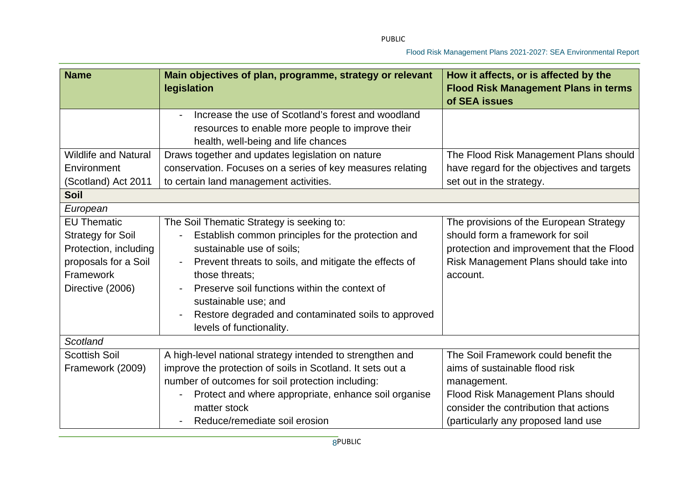| <b>Name</b>                                                                                                                      | Main objectives of plan, programme, strategy or relevant<br>legislation                                                                                                                                                                                                                                                                                             | How it affects, or is affected by the<br><b>Flood Risk Management Plans in terms</b><br>of SEA issues                                                                                                        |
|----------------------------------------------------------------------------------------------------------------------------------|---------------------------------------------------------------------------------------------------------------------------------------------------------------------------------------------------------------------------------------------------------------------------------------------------------------------------------------------------------------------|--------------------------------------------------------------------------------------------------------------------------------------------------------------------------------------------------------------|
|                                                                                                                                  | Increase the use of Scotland's forest and woodland<br>resources to enable more people to improve their<br>health, well-being and life chances                                                                                                                                                                                                                       |                                                                                                                                                                                                              |
| <b>Wildlife and Natural</b><br>Environment                                                                                       | Draws together and updates legislation on nature<br>conservation. Focuses on a series of key measures relating                                                                                                                                                                                                                                                      | The Flood Risk Management Plans should<br>have regard for the objectives and targets                                                                                                                         |
| (Scotland) Act 2011<br><b>Soil</b>                                                                                               | to certain land management activities.                                                                                                                                                                                                                                                                                                                              | set out in the strategy.                                                                                                                                                                                     |
| European                                                                                                                         |                                                                                                                                                                                                                                                                                                                                                                     |                                                                                                                                                                                                              |
| <b>EU Thematic</b><br><b>Strategy for Soil</b><br>Protection, including<br>proposals for a Soil<br>Framework<br>Directive (2006) | The Soil Thematic Strategy is seeking to:<br>Establish common principles for the protection and<br>sustainable use of soils:<br>Prevent threats to soils, and mitigate the effects of<br>those threats:<br>Preserve soil functions within the context of<br>sustainable use; and<br>Restore degraded and contaminated soils to approved<br>levels of functionality. | The provisions of the European Strategy<br>should form a framework for soil<br>protection and improvement that the Flood<br>Risk Management Plans should take into<br>account.                               |
| Scotland                                                                                                                         |                                                                                                                                                                                                                                                                                                                                                                     |                                                                                                                                                                                                              |
| <b>Scottish Soil</b><br>Framework (2009)                                                                                         | A high-level national strategy intended to strengthen and<br>improve the protection of soils in Scotland. It sets out a<br>number of outcomes for soil protection including:<br>Protect and where appropriate, enhance soil organise<br>matter stock<br>Reduce/remediate soil erosion                                                                               | The Soil Framework could benefit the<br>aims of sustainable flood risk<br>management.<br>Flood Risk Management Plans should<br>consider the contribution that actions<br>(particularly any proposed land use |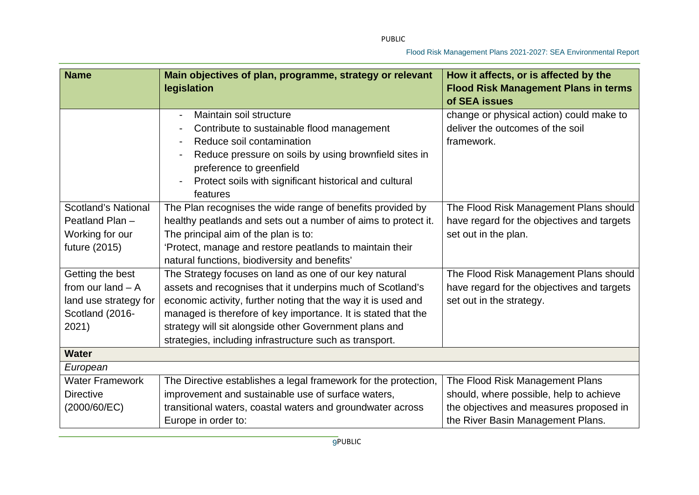| <b>Name</b>                | Main objectives of plan, programme, strategy or relevant<br>legislation | How it affects, or is affected by the<br><b>Flood Risk Management Plans in terms</b> |
|----------------------------|-------------------------------------------------------------------------|--------------------------------------------------------------------------------------|
|                            |                                                                         | of SEA issues                                                                        |
|                            | Maintain soil structure                                                 | change or physical action) could make to                                             |
|                            | Contribute to sustainable flood management                              | deliver the outcomes of the soil                                                     |
|                            | Reduce soil contamination                                               | framework.                                                                           |
|                            | Reduce pressure on soils by using brownfield sites in                   |                                                                                      |
|                            | preference to greenfield                                                |                                                                                      |
|                            | Protect soils with significant historical and cultural                  |                                                                                      |
|                            | features                                                                |                                                                                      |
| <b>Scotland's National</b> | The Plan recognises the wide range of benefits provided by              | The Flood Risk Management Plans should                                               |
| Peatland Plan -            | healthy peatlands and sets out a number of aims to protect it.          | have regard for the objectives and targets                                           |
| Working for our            | The principal aim of the plan is to:                                    | set out in the plan.                                                                 |
| future (2015)              | 'Protect, manage and restore peatlands to maintain their                |                                                                                      |
|                            | natural functions, biodiversity and benefits'                           |                                                                                      |
| Getting the best           | The Strategy focuses on land as one of our key natural                  | The Flood Risk Management Plans should                                               |
| from our land $-$ A        | assets and recognises that it underpins much of Scotland's              | have regard for the objectives and targets                                           |
| land use strategy for      | economic activity, further noting that the way it is used and           | set out in the strategy.                                                             |
| Scotland (2016-            | managed is therefore of key importance. It is stated that the           |                                                                                      |
| 2021)                      | strategy will sit alongside other Government plans and                  |                                                                                      |
|                            | strategies, including infrastructure such as transport.                 |                                                                                      |
| <b>Water</b>               |                                                                         |                                                                                      |
| European                   |                                                                         |                                                                                      |
| <b>Water Framework</b>     | The Directive establishes a legal framework for the protection,         | The Flood Risk Management Plans                                                      |
| <b>Directive</b>           | improvement and sustainable use of surface waters,                      | should, where possible, help to achieve                                              |
| (2000/60/EC)               | transitional waters, coastal waters and groundwater across              | the objectives and measures proposed in                                              |
|                            | Europe in order to:                                                     | the River Basin Management Plans.                                                    |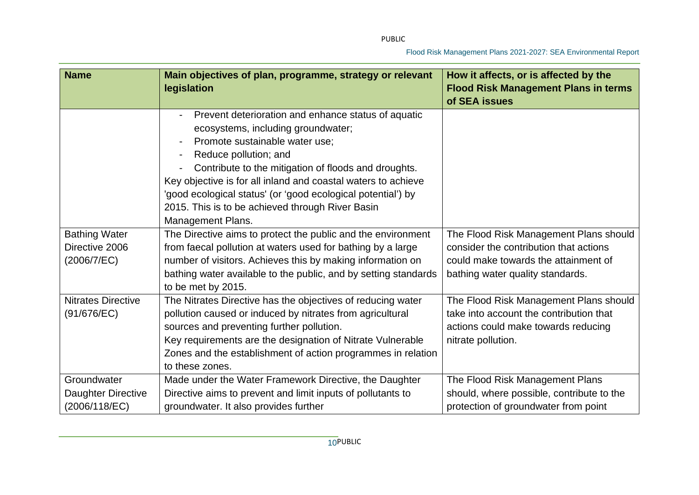| <b>Name</b>                                           | Main objectives of plan, programme, strategy or relevant<br>legislation                                                                                                                                                                                                                                                                                                                                                       | How it affects, or is affected by the<br><b>Flood Risk Management Plans in terms</b><br>of SEA issues                                                        |
|-------------------------------------------------------|-------------------------------------------------------------------------------------------------------------------------------------------------------------------------------------------------------------------------------------------------------------------------------------------------------------------------------------------------------------------------------------------------------------------------------|--------------------------------------------------------------------------------------------------------------------------------------------------------------|
|                                                       | Prevent deterioration and enhance status of aquatic<br>ecosystems, including groundwater;<br>Promote sustainable water use;<br>Reduce pollution; and<br>Contribute to the mitigation of floods and droughts.<br>Key objective is for all inland and coastal waters to achieve<br>'good ecological status' (or 'good ecological potential') by<br>2015. This is to be achieved through River Basin<br><b>Management Plans.</b> |                                                                                                                                                              |
| <b>Bathing Water</b><br>Directive 2006<br>(2006/7/EC) | The Directive aims to protect the public and the environment<br>from faecal pollution at waters used for bathing by a large<br>number of visitors. Achieves this by making information on<br>bathing water available to the public, and by setting standards<br>to be met by 2015.                                                                                                                                            | The Flood Risk Management Plans should<br>consider the contribution that actions<br>could make towards the attainment of<br>bathing water quality standards. |
| <b>Nitrates Directive</b><br>(91/676/EC)              | The Nitrates Directive has the objectives of reducing water<br>pollution caused or induced by nitrates from agricultural<br>sources and preventing further pollution.<br>Key requirements are the designation of Nitrate Vulnerable<br>Zones and the establishment of action programmes in relation<br>to these zones.                                                                                                        | The Flood Risk Management Plans should<br>take into account the contribution that<br>actions could make towards reducing<br>nitrate pollution.               |
| Groundwater<br>Daughter Directive<br>(2006/118/EC)    | Made under the Water Framework Directive, the Daughter<br>Directive aims to prevent and limit inputs of pollutants to<br>groundwater. It also provides further                                                                                                                                                                                                                                                                | The Flood Risk Management Plans<br>should, where possible, contribute to the<br>protection of groundwater from point                                         |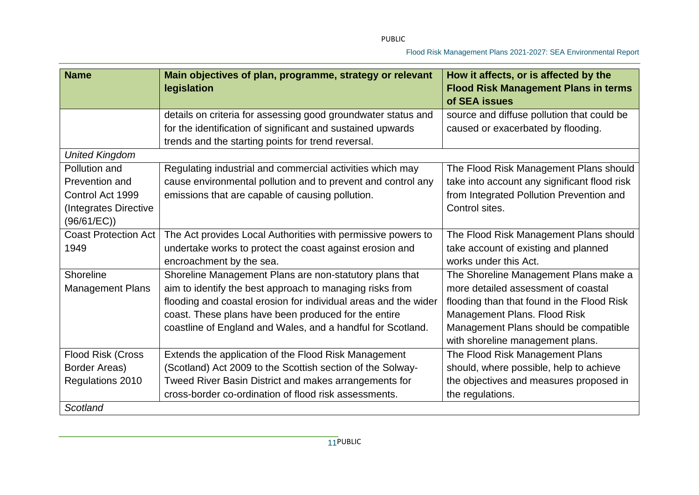| <b>Name</b>                 | Main objectives of plan, programme, strategy or relevant<br>legislation | How it affects, or is affected by the<br><b>Flood Risk Management Plans in terms</b><br>of SEA issues |
|-----------------------------|-------------------------------------------------------------------------|-------------------------------------------------------------------------------------------------------|
|                             | details on criteria for assessing good groundwater status and           | source and diffuse pollution that could be                                                            |
|                             | for the identification of significant and sustained upwards             | caused or exacerbated by flooding.                                                                    |
|                             | trends and the starting points for trend reversal.                      |                                                                                                       |
| <b>United Kingdom</b>       |                                                                         |                                                                                                       |
| Pollution and               | Regulating industrial and commercial activities which may               | The Flood Risk Management Plans should                                                                |
| Prevention and              | cause environmental pollution and to prevent and control any            | take into account any significant flood risk                                                          |
| Control Act 1999            | emissions that are capable of causing pollution.                        | from Integrated Pollution Prevention and                                                              |
| (Integrates Directive       |                                                                         | Control sites.                                                                                        |
| (96/61/EC))                 |                                                                         |                                                                                                       |
| <b>Coast Protection Act</b> | The Act provides Local Authorities with permissive powers to            | The Flood Risk Management Plans should                                                                |
| 1949                        | undertake works to protect the coast against erosion and                | take account of existing and planned                                                                  |
|                             | encroachment by the sea.                                                | works under this Act.                                                                                 |
| Shoreline                   | Shoreline Management Plans are non-statutory plans that                 | The Shoreline Management Plans make a                                                                 |
| <b>Management Plans</b>     | aim to identify the best approach to managing risks from                | more detailed assessment of coastal                                                                   |
|                             | flooding and coastal erosion for individual areas and the wider         | flooding than that found in the Flood Risk                                                            |
|                             | coast. These plans have been produced for the entire                    | Management Plans. Flood Risk                                                                          |
|                             | coastline of England and Wales, and a handful for Scotland.             | Management Plans should be compatible                                                                 |
|                             |                                                                         | with shoreline management plans.                                                                      |
| Flood Risk (Cross           | Extends the application of the Flood Risk Management                    | The Flood Risk Management Plans                                                                       |
| Border Areas)               | (Scotland) Act 2009 to the Scottish section of the Solway-              | should, where possible, help to achieve                                                               |
| Regulations 2010            | Tweed River Basin District and makes arrangements for                   | the objectives and measures proposed in                                                               |
|                             | cross-border co-ordination of flood risk assessments.                   | the regulations.                                                                                      |
| Scotland                    |                                                                         |                                                                                                       |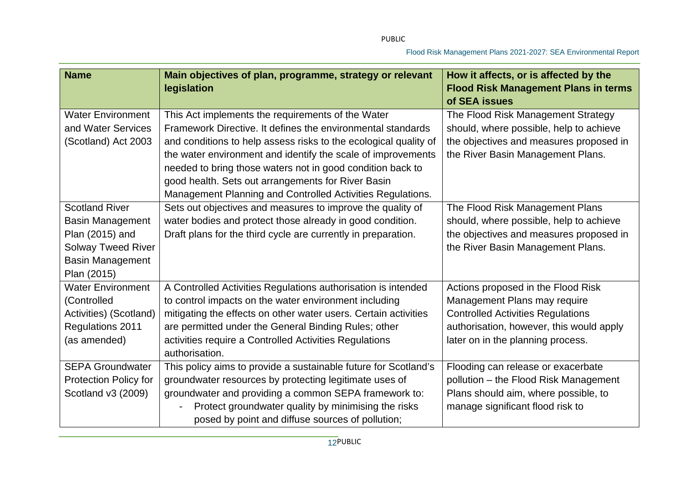| <b>Name</b>                  | Main objectives of plan, programme, strategy or relevant<br>legislation | How it affects, or is affected by the<br><b>Flood Risk Management Plans in terms</b> |
|------------------------------|-------------------------------------------------------------------------|--------------------------------------------------------------------------------------|
|                              |                                                                         | of SEA issues                                                                        |
| <b>Water Environment</b>     | This Act implements the requirements of the Water                       | The Flood Risk Management Strategy                                                   |
| and Water Services           | Framework Directive. It defines the environmental standards             | should, where possible, help to achieve                                              |
| (Scotland) Act 2003          | and conditions to help assess risks to the ecological quality of        | the objectives and measures proposed in                                              |
|                              | the water environment and identify the scale of improvements            | the River Basin Management Plans.                                                    |
|                              | needed to bring those waters not in good condition back to              |                                                                                      |
|                              | good health. Sets out arrangements for River Basin                      |                                                                                      |
|                              | Management Planning and Controlled Activities Regulations.              |                                                                                      |
| <b>Scotland River</b>        | Sets out objectives and measures to improve the quality of              | The Flood Risk Management Plans                                                      |
| <b>Basin Management</b>      | water bodies and protect those already in good condition.               | should, where possible, help to achieve                                              |
| Plan (2015) and              | Draft plans for the third cycle are currently in preparation.           | the objectives and measures proposed in                                              |
| <b>Solway Tweed River</b>    |                                                                         | the River Basin Management Plans.                                                    |
| <b>Basin Management</b>      |                                                                         |                                                                                      |
| Plan (2015)                  |                                                                         |                                                                                      |
| <b>Water Environment</b>     | A Controlled Activities Regulations authorisation is intended           | Actions proposed in the Flood Risk                                                   |
| (Controlled                  | to control impacts on the water environment including                   | Management Plans may require                                                         |
| Activities) (Scotland)       | mitigating the effects on other water users. Certain activities         | <b>Controlled Activities Regulations</b>                                             |
| Regulations 2011             | are permitted under the General Binding Rules; other                    | authorisation, however, this would apply                                             |
| (as amended)                 | activities require a Controlled Activities Regulations                  | later on in the planning process.                                                    |
|                              | authorisation.                                                          |                                                                                      |
| <b>SEPA Groundwater</b>      | This policy aims to provide a sustainable future for Scotland's         | Flooding can release or exacerbate                                                   |
| <b>Protection Policy for</b> | groundwater resources by protecting legitimate uses of                  | pollution - the Flood Risk Management                                                |
| Scotland v3 (2009)           | groundwater and providing a common SEPA framework to:                   | Plans should aim, where possible, to                                                 |
|                              | Protect groundwater quality by minimising the risks                     | manage significant flood risk to                                                     |
|                              | posed by point and diffuse sources of pollution;                        |                                                                                      |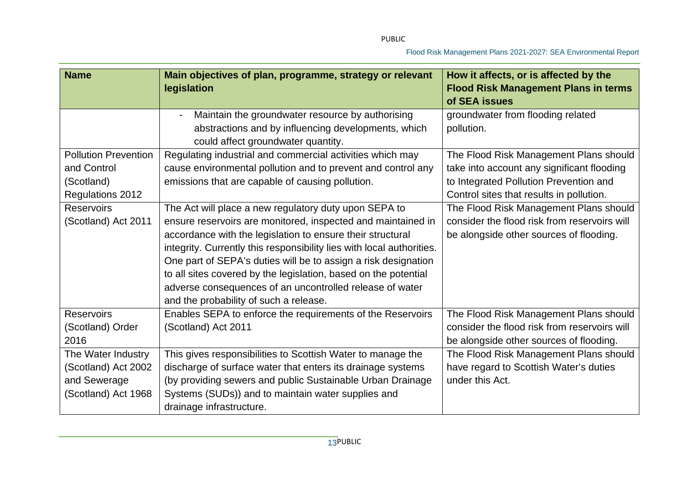| <b>Name</b>                 | Main objectives of plan, programme, strategy or relevant<br>legislation                                 | How it affects, or is affected by the<br><b>Flood Risk Management Plans in terms</b><br>of SEA issues |
|-----------------------------|---------------------------------------------------------------------------------------------------------|-------------------------------------------------------------------------------------------------------|
|                             | Maintain the groundwater resource by authorising<br>abstractions and by influencing developments, which | groundwater from flooding related<br>pollution.                                                       |
|                             | could affect groundwater quantity.                                                                      |                                                                                                       |
| <b>Pollution Prevention</b> | Regulating industrial and commercial activities which may                                               | The Flood Risk Management Plans should                                                                |
| and Control                 | cause environmental pollution and to prevent and control any                                            | take into account any significant flooding                                                            |
| (Scotland)                  | emissions that are capable of causing pollution.                                                        | to Integrated Pollution Prevention and                                                                |
| Regulations 2012            |                                                                                                         | Control sites that results in pollution.                                                              |
| <b>Reservoirs</b>           | The Act will place a new regulatory duty upon SEPA to                                                   | The Flood Risk Management Plans should                                                                |
| (Scotland) Act 2011         | ensure reservoirs are monitored, inspected and maintained in                                            | consider the flood risk from reservoirs will                                                          |
|                             | accordance with the legislation to ensure their structural                                              | be alongside other sources of flooding.                                                               |
|                             | integrity. Currently this responsibility lies with local authorities.                                   |                                                                                                       |
|                             | One part of SEPA's duties will be to assign a risk designation                                          |                                                                                                       |
|                             | to all sites covered by the legislation, based on the potential                                         |                                                                                                       |
|                             | adverse consequences of an uncontrolled release of water                                                |                                                                                                       |
|                             | and the probability of such a release.                                                                  |                                                                                                       |
| <b>Reservoirs</b>           | Enables SEPA to enforce the requirements of the Reservoirs                                              | The Flood Risk Management Plans should                                                                |
| (Scotland) Order            | (Scotland) Act 2011                                                                                     | consider the flood risk from reservoirs will                                                          |
| 2016                        |                                                                                                         | be alongside other sources of flooding.                                                               |
| The Water Industry          | This gives responsibilities to Scottish Water to manage the                                             | The Flood Risk Management Plans should                                                                |
| (Scotland) Act 2002         | discharge of surface water that enters its drainage systems                                             | have regard to Scottish Water's duties                                                                |
| and Sewerage                | (by providing sewers and public Sustainable Urban Drainage                                              | under this Act.                                                                                       |
| (Scotland) Act 1968         | Systems (SUDs)) and to maintain water supplies and                                                      |                                                                                                       |
|                             | drainage infrastructure.                                                                                |                                                                                                       |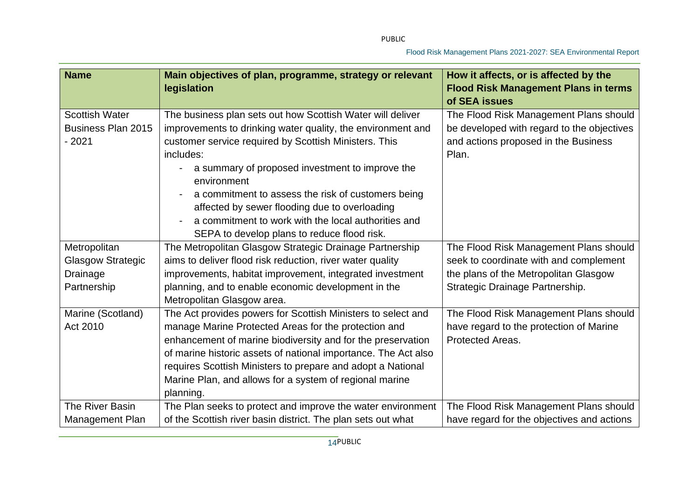| <b>Name</b>                                                         | Main objectives of plan, programme, strategy or relevant<br>legislation                                                                                                                                                                                                                                                                                                                                                                                                        | How it affects, or is affected by the<br><b>Flood Risk Management Plans in terms</b><br>of SEA issues                                                        |
|---------------------------------------------------------------------|--------------------------------------------------------------------------------------------------------------------------------------------------------------------------------------------------------------------------------------------------------------------------------------------------------------------------------------------------------------------------------------------------------------------------------------------------------------------------------|--------------------------------------------------------------------------------------------------------------------------------------------------------------|
| <b>Scottish Water</b><br><b>Business Plan 2015</b><br>$-2021$       | The business plan sets out how Scottish Water will deliver<br>improvements to drinking water quality, the environment and<br>customer service required by Scottish Ministers. This<br>includes:<br>a summary of proposed investment to improve the<br>environment<br>a commitment to assess the risk of customers being<br>affected by sewer flooding due to overloading<br>a commitment to work with the local authorities and<br>SEPA to develop plans to reduce flood risk. | The Flood Risk Management Plans should<br>be developed with regard to the objectives<br>and actions proposed in the Business<br>Plan.                        |
| Metropolitan<br><b>Glasgow Strategic</b><br>Drainage<br>Partnership | The Metropolitan Glasgow Strategic Drainage Partnership<br>aims to deliver flood risk reduction, river water quality<br>improvements, habitat improvement, integrated investment<br>planning, and to enable economic development in the<br>Metropolitan Glasgow area.                                                                                                                                                                                                          | The Flood Risk Management Plans should<br>seek to coordinate with and complement<br>the plans of the Metropolitan Glasgow<br>Strategic Drainage Partnership. |
| Marine (Scotland)<br>Act 2010                                       | The Act provides powers for Scottish Ministers to select and<br>manage Marine Protected Areas for the protection and<br>enhancement of marine biodiversity and for the preservation<br>of marine historic assets of national importance. The Act also<br>requires Scottish Ministers to prepare and adopt a National<br>Marine Plan, and allows for a system of regional marine<br>planning.                                                                                   | The Flood Risk Management Plans should<br>have regard to the protection of Marine<br>Protected Areas.                                                        |
| The River Basin<br>Management Plan                                  | The Plan seeks to protect and improve the water environment<br>of the Scottish river basin district. The plan sets out what                                                                                                                                                                                                                                                                                                                                                    | The Flood Risk Management Plans should<br>have regard for the objectives and actions                                                                         |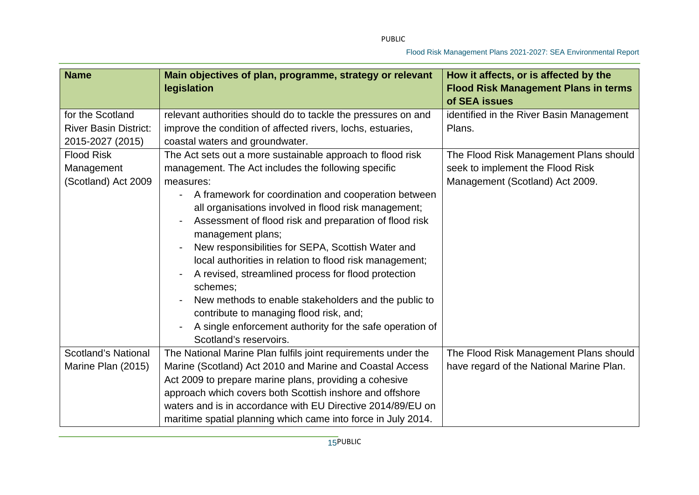| <b>Name</b>                  | Main objectives of plan, programme, strategy or relevant<br>legislation          | How it affects, or is affected by the<br><b>Flood Risk Management Plans in terms</b><br>of SEA issues |
|------------------------------|----------------------------------------------------------------------------------|-------------------------------------------------------------------------------------------------------|
| for the Scotland             | relevant authorities should do to tackle the pressures on and                    | identified in the River Basin Management                                                              |
| <b>River Basin District:</b> | improve the condition of affected rivers, lochs, estuaries,                      | Plans.                                                                                                |
| 2015-2027 (2015)             | coastal waters and groundwater.                                                  |                                                                                                       |
| <b>Flood Risk</b>            | The Act sets out a more sustainable approach to flood risk                       | The Flood Risk Management Plans should                                                                |
| Management                   | management. The Act includes the following specific                              | seek to implement the Flood Risk                                                                      |
| (Scotland) Act 2009          | measures:                                                                        | Management (Scotland) Act 2009.                                                                       |
|                              | A framework for coordination and cooperation between<br>$\overline{\phantom{0}}$ |                                                                                                       |
|                              | all organisations involved in flood risk management;                             |                                                                                                       |
|                              | Assessment of flood risk and preparation of flood risk                           |                                                                                                       |
|                              | management plans;                                                                |                                                                                                       |
|                              | New responsibilities for SEPA, Scottish Water and                                |                                                                                                       |
|                              | local authorities in relation to flood risk management;                          |                                                                                                       |
|                              | A revised, streamlined process for flood protection<br>schemes;                  |                                                                                                       |
|                              | New methods to enable stakeholders and the public to                             |                                                                                                       |
|                              | contribute to managing flood risk, and;                                          |                                                                                                       |
|                              | A single enforcement authority for the safe operation of                         |                                                                                                       |
|                              | Scotland's reservoirs.                                                           |                                                                                                       |
| <b>Scotland's National</b>   | The National Marine Plan fulfils joint requirements under the                    | The Flood Risk Management Plans should                                                                |
| Marine Plan (2015)           | Marine (Scotland) Act 2010 and Marine and Coastal Access                         | have regard of the National Marine Plan.                                                              |
|                              | Act 2009 to prepare marine plans, providing a cohesive                           |                                                                                                       |
|                              | approach which covers both Scottish inshore and offshore                         |                                                                                                       |
|                              | waters and is in accordance with EU Directive 2014/89/EU on                      |                                                                                                       |
|                              | maritime spatial planning which came into force in July 2014.                    |                                                                                                       |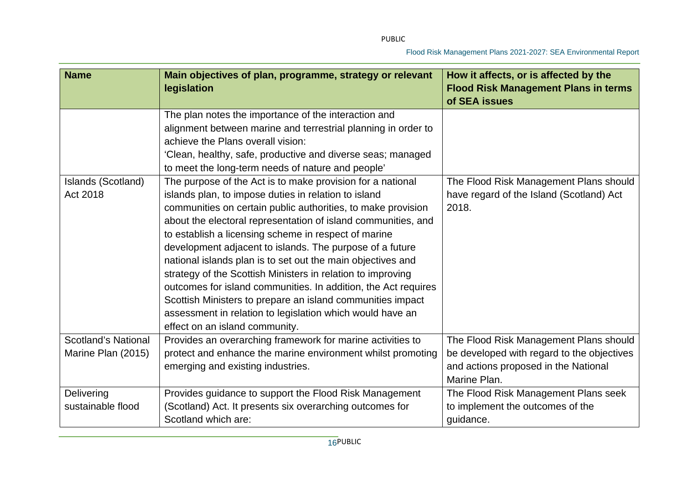| <b>Name</b>                | Main objectives of plan, programme, strategy or relevant<br>legislation | How it affects, or is affected by the<br><b>Flood Risk Management Plans in terms</b> |
|----------------------------|-------------------------------------------------------------------------|--------------------------------------------------------------------------------------|
|                            |                                                                         | of SEA issues                                                                        |
|                            | The plan notes the importance of the interaction and                    |                                                                                      |
|                            | alignment between marine and terrestrial planning in order to           |                                                                                      |
|                            | achieve the Plans overall vision:                                       |                                                                                      |
|                            | 'Clean, healthy, safe, productive and diverse seas; managed             |                                                                                      |
|                            | to meet the long-term needs of nature and people'                       |                                                                                      |
| Islands (Scotland)         | The purpose of the Act is to make provision for a national              | The Flood Risk Management Plans should                                               |
| Act 2018                   | islands plan, to impose duties in relation to island                    | have regard of the Island (Scotland) Act                                             |
|                            | communities on certain public authorities, to make provision            | 2018.                                                                                |
|                            | about the electoral representation of island communities, and           |                                                                                      |
|                            | to establish a licensing scheme in respect of marine                    |                                                                                      |
|                            | development adjacent to islands. The purpose of a future                |                                                                                      |
|                            | national islands plan is to set out the main objectives and             |                                                                                      |
|                            | strategy of the Scottish Ministers in relation to improving             |                                                                                      |
|                            | outcomes for island communities. In addition, the Act requires          |                                                                                      |
|                            | Scottish Ministers to prepare an island communities impact              |                                                                                      |
|                            | assessment in relation to legislation which would have an               |                                                                                      |
|                            | effect on an island community.                                          |                                                                                      |
| <b>Scotland's National</b> | Provides an overarching framework for marine activities to              | The Flood Risk Management Plans should                                               |
| Marine Plan (2015)         | protect and enhance the marine environment whilst promoting             | be developed with regard to the objectives                                           |
|                            | emerging and existing industries.                                       | and actions proposed in the National                                                 |
|                            |                                                                         | Marine Plan.                                                                         |
| Delivering                 | Provides guidance to support the Flood Risk Management                  | The Flood Risk Management Plans seek                                                 |
| sustainable flood          | (Scotland) Act. It presents six overarching outcomes for                | to implement the outcomes of the                                                     |
|                            | Scotland which are:                                                     | guidance.                                                                            |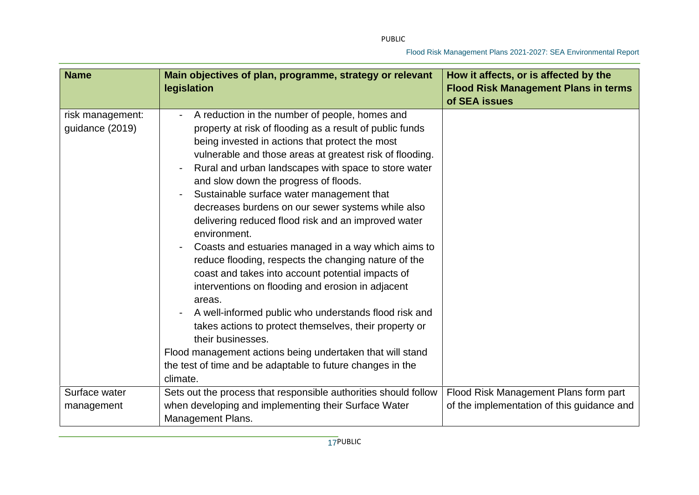| <b>Name</b>                         | Main objectives of plan, programme, strategy or relevant<br>legislation                                                                                                                                                                                                                                                                                                                                                                                                                                                                                                                                                                                                                                                                                                                                                                                                                                                                                                                                               | How it affects, or is affected by the<br><b>Flood Risk Management Plans in terms</b><br>of SEA issues |
|-------------------------------------|-----------------------------------------------------------------------------------------------------------------------------------------------------------------------------------------------------------------------------------------------------------------------------------------------------------------------------------------------------------------------------------------------------------------------------------------------------------------------------------------------------------------------------------------------------------------------------------------------------------------------------------------------------------------------------------------------------------------------------------------------------------------------------------------------------------------------------------------------------------------------------------------------------------------------------------------------------------------------------------------------------------------------|-------------------------------------------------------------------------------------------------------|
| risk management:<br>guidance (2019) | A reduction in the number of people, homes and<br>property at risk of flooding as a result of public funds<br>being invested in actions that protect the most<br>vulnerable and those areas at greatest risk of flooding.<br>Rural and urban landscapes with space to store water<br>and slow down the progress of floods.<br>Sustainable surface water management that<br>decreases burdens on our sewer systems while also<br>delivering reduced flood risk and an improved water<br>environment.<br>Coasts and estuaries managed in a way which aims to<br>reduce flooding, respects the changing nature of the<br>coast and takes into account potential impacts of<br>interventions on flooding and erosion in adjacent<br>areas.<br>A well-informed public who understands flood risk and<br>takes actions to protect themselves, their property or<br>their businesses.<br>Flood management actions being undertaken that will stand<br>the test of time and be adaptable to future changes in the<br>climate. |                                                                                                       |
| Surface water<br>management         | Sets out the process that responsible authorities should follow<br>when developing and implementing their Surface Water<br><b>Management Plans.</b>                                                                                                                                                                                                                                                                                                                                                                                                                                                                                                                                                                                                                                                                                                                                                                                                                                                                   | Flood Risk Management Plans form part<br>of the implementation of this guidance and                   |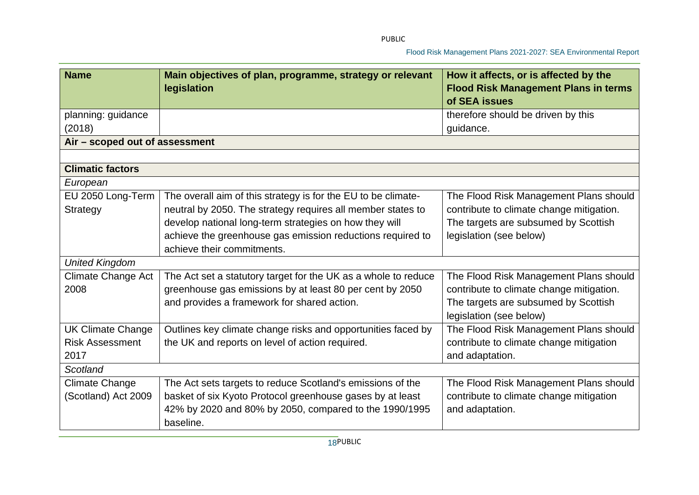| <b>Name</b>                    | Main objectives of plan, programme, strategy or relevant<br>legislation | How it affects, or is affected by the<br><b>Flood Risk Management Plans in terms</b><br>of SEA issues |
|--------------------------------|-------------------------------------------------------------------------|-------------------------------------------------------------------------------------------------------|
| planning: guidance             |                                                                         | therefore should be driven by this                                                                    |
| (2018)                         |                                                                         | guidance.                                                                                             |
| Air - scoped out of assessment |                                                                         |                                                                                                       |
|                                |                                                                         |                                                                                                       |
| <b>Climatic factors</b>        |                                                                         |                                                                                                       |
| European                       |                                                                         |                                                                                                       |
| EU 2050 Long-Term              | The overall aim of this strategy is for the EU to be climate-           | The Flood Risk Management Plans should                                                                |
| Strategy                       | neutral by 2050. The strategy requires all member states to             | contribute to climate change mitigation.                                                              |
|                                | develop national long-term strategies on how they will                  | The targets are subsumed by Scottish                                                                  |
|                                | achieve the greenhouse gas emission reductions required to              | legislation (see below)                                                                               |
|                                | achieve their commitments.                                              |                                                                                                       |
| <b>United Kingdom</b>          |                                                                         |                                                                                                       |
| <b>Climate Change Act</b>      | The Act set a statutory target for the UK as a whole to reduce          | The Flood Risk Management Plans should                                                                |
| 2008                           | greenhouse gas emissions by at least 80 per cent by 2050                | contribute to climate change mitigation.                                                              |
|                                | and provides a framework for shared action.                             | The targets are subsumed by Scottish                                                                  |
|                                |                                                                         | legislation (see below)                                                                               |
| <b>UK Climate Change</b>       | Outlines key climate change risks and opportunities faced by            | The Flood Risk Management Plans should                                                                |
| <b>Risk Assessment</b>         | the UK and reports on level of action required.                         | contribute to climate change mitigation                                                               |
| 2017                           |                                                                         | and adaptation.                                                                                       |
| Scotland                       |                                                                         |                                                                                                       |
| <b>Climate Change</b>          | The Act sets targets to reduce Scotland's emissions of the              | The Flood Risk Management Plans should                                                                |
| (Scotland) Act 2009            | basket of six Kyoto Protocol greenhouse gases by at least               | contribute to climate change mitigation                                                               |
|                                | 42% by 2020 and 80% by 2050, compared to the 1990/1995<br>baseline.     | and adaptation.                                                                                       |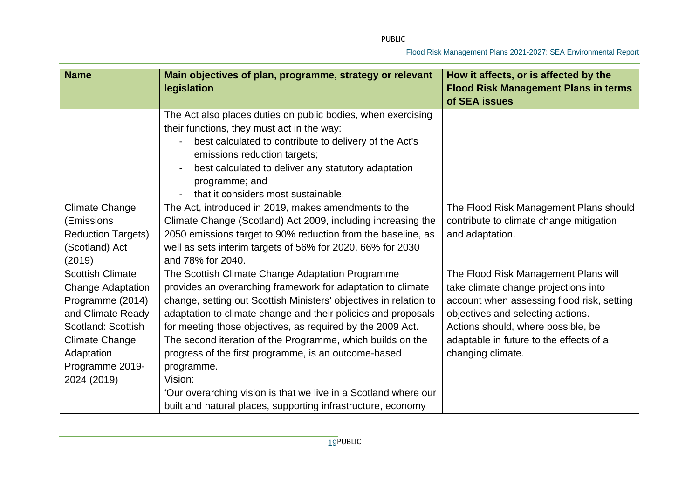| <b>Name</b>                                                                                                                                                                          | Main objectives of plan, programme, strategy or relevant<br>legislation                                                                                                                                                                                                                                                                                                                                                                                            | How it affects, or is affected by the<br><b>Flood Risk Management Plans in terms</b><br>of SEA issues                                                                                                                                                                 |
|--------------------------------------------------------------------------------------------------------------------------------------------------------------------------------------|--------------------------------------------------------------------------------------------------------------------------------------------------------------------------------------------------------------------------------------------------------------------------------------------------------------------------------------------------------------------------------------------------------------------------------------------------------------------|-----------------------------------------------------------------------------------------------------------------------------------------------------------------------------------------------------------------------------------------------------------------------|
|                                                                                                                                                                                      | The Act also places duties on public bodies, when exercising<br>their functions, they must act in the way:<br>best calculated to contribute to delivery of the Act's<br>emissions reduction targets;<br>best calculated to deliver any statutory adaptation<br>programme; and<br>that it considers most sustainable.                                                                                                                                               |                                                                                                                                                                                                                                                                       |
| <b>Climate Change</b><br>(Emissions<br><b>Reduction Targets)</b><br>(Scotland) Act<br>(2019)                                                                                         | The Act, introduced in 2019, makes amendments to the<br>Climate Change (Scotland) Act 2009, including increasing the<br>2050 emissions target to 90% reduction from the baseline, as<br>well as sets interim targets of 56% for 2020, 66% for 2030<br>and 78% for 2040.                                                                                                                                                                                            | The Flood Risk Management Plans should<br>contribute to climate change mitigation<br>and adaptation.                                                                                                                                                                  |
| <b>Scottish Climate</b><br><b>Change Adaptation</b><br>Programme (2014)<br>and Climate Ready<br>Scotland: Scottish<br>Climate Change<br>Adaptation<br>Programme 2019-<br>2024 (2019) | The Scottish Climate Change Adaptation Programme<br>provides an overarching framework for adaptation to climate<br>change, setting out Scottish Ministers' objectives in relation to<br>adaptation to climate change and their policies and proposals<br>for meeting those objectives, as required by the 2009 Act.<br>The second iteration of the Programme, which builds on the<br>progress of the first programme, is an outcome-based<br>programme.<br>Vision: | The Flood Risk Management Plans will<br>take climate change projections into<br>account when assessing flood risk, setting<br>objectives and selecting actions.<br>Actions should, where possible, be<br>adaptable in future to the effects of a<br>changing climate. |
|                                                                                                                                                                                      | 'Our overarching vision is that we live in a Scotland where our<br>built and natural places, supporting infrastructure, economy                                                                                                                                                                                                                                                                                                                                    |                                                                                                                                                                                                                                                                       |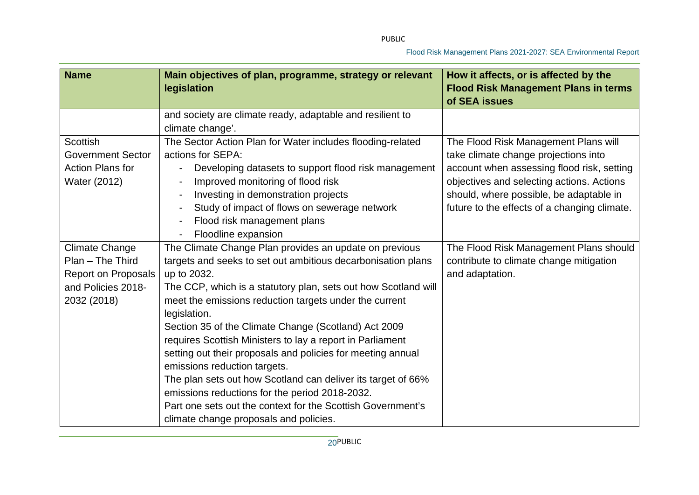| <b>Name</b>              | Main objectives of plan, programme, strategy or relevant<br>legislation | How it affects, or is affected by the<br><b>Flood Risk Management Plans in terms</b> |
|--------------------------|-------------------------------------------------------------------------|--------------------------------------------------------------------------------------|
|                          |                                                                         | of SEA issues                                                                        |
|                          | and society are climate ready, adaptable and resilient to               |                                                                                      |
|                          | climate change'.                                                        |                                                                                      |
| <b>Scottish</b>          | The Sector Action Plan for Water includes flooding-related              | The Flood Risk Management Plans will                                                 |
| <b>Government Sector</b> | actions for SEPA:                                                       | take climate change projections into                                                 |
| <b>Action Plans for</b>  | Developing datasets to support flood risk management                    | account when assessing flood risk, setting                                           |
| Water (2012)             | Improved monitoring of flood risk                                       | objectives and selecting actions. Actions                                            |
|                          | Investing in demonstration projects                                     | should, where possible, be adaptable in                                              |
|                          | Study of impact of flows on sewerage network                            | future to the effects of a changing climate.                                         |
|                          | Flood risk management plans                                             |                                                                                      |
|                          | Floodline expansion                                                     |                                                                                      |
| <b>Climate Change</b>    | The Climate Change Plan provides an update on previous                  | The Flood Risk Management Plans should                                               |
| Plan - The Third         | targets and seeks to set out ambitious decarbonisation plans            | contribute to climate change mitigation                                              |
| Report on Proposals      | up to 2032.                                                             | and adaptation.                                                                      |
| and Policies 2018-       | The CCP, which is a statutory plan, sets out how Scotland will          |                                                                                      |
| 2032 (2018)              | meet the emissions reduction targets under the current                  |                                                                                      |
|                          | legislation.                                                            |                                                                                      |
|                          | Section 35 of the Climate Change (Scotland) Act 2009                    |                                                                                      |
|                          | requires Scottish Ministers to lay a report in Parliament               |                                                                                      |
|                          | setting out their proposals and policies for meeting annual             |                                                                                      |
|                          | emissions reduction targets.                                            |                                                                                      |
|                          | The plan sets out how Scotland can deliver its target of 66%            |                                                                                      |
|                          | emissions reductions for the period 2018-2032.                          |                                                                                      |
|                          | Part one sets out the context for the Scottish Government's             |                                                                                      |
|                          | climate change proposals and policies.                                  |                                                                                      |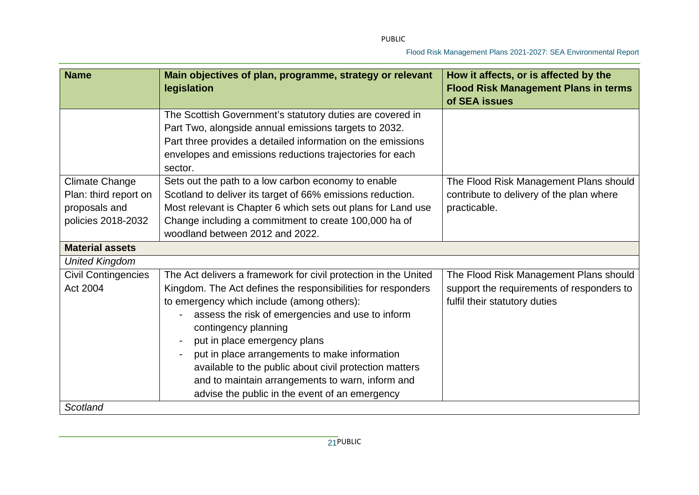| <b>Name</b>                                                                           | Main objectives of plan, programme, strategy or relevant<br>legislation                                                                                                                                                                                                                                                                                                                                                                                                                                    | How it affects, or is affected by the<br><b>Flood Risk Management Plans in terms</b><br>of SEA issues                |
|---------------------------------------------------------------------------------------|------------------------------------------------------------------------------------------------------------------------------------------------------------------------------------------------------------------------------------------------------------------------------------------------------------------------------------------------------------------------------------------------------------------------------------------------------------------------------------------------------------|----------------------------------------------------------------------------------------------------------------------|
|                                                                                       | The Scottish Government's statutory duties are covered in<br>Part Two, alongside annual emissions targets to 2032.<br>Part three provides a detailed information on the emissions<br>envelopes and emissions reductions trajectories for each<br>sector.                                                                                                                                                                                                                                                   |                                                                                                                      |
| <b>Climate Change</b><br>Plan: third report on<br>proposals and<br>policies 2018-2032 | Sets out the path to a low carbon economy to enable<br>Scotland to deliver its target of 66% emissions reduction.<br>Most relevant is Chapter 6 which sets out plans for Land use<br>Change including a commitment to create 100,000 ha of<br>woodland between 2012 and 2022.                                                                                                                                                                                                                              | The Flood Risk Management Plans should<br>contribute to delivery of the plan where<br>practicable.                   |
| <b>Material assets</b>                                                                |                                                                                                                                                                                                                                                                                                                                                                                                                                                                                                            |                                                                                                                      |
| <b>United Kingdom</b>                                                                 |                                                                                                                                                                                                                                                                                                                                                                                                                                                                                                            |                                                                                                                      |
| <b>Civil Contingencies</b><br>Act 2004                                                | The Act delivers a framework for civil protection in the United<br>Kingdom. The Act defines the responsibilities for responders<br>to emergency which include (among others):<br>assess the risk of emergencies and use to inform<br>contingency planning<br>put in place emergency plans<br>put in place arrangements to make information<br>available to the public about civil protection matters<br>and to maintain arrangements to warn, inform and<br>advise the public in the event of an emergency | The Flood Risk Management Plans should<br>support the requirements of responders to<br>fulfil their statutory duties |
| Scotland                                                                              |                                                                                                                                                                                                                                                                                                                                                                                                                                                                                                            |                                                                                                                      |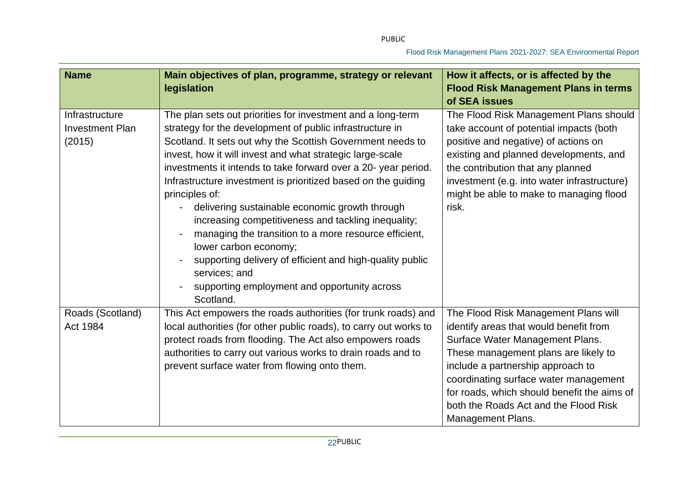| <b>Name</b>                                        | Main objectives of plan, programme, strategy or relevant<br>legislation                                                                                                                                                                                                                                                                                                                                                                                                                                                                                                                                                                                                                                                                      | How it affects, or is affected by the<br><b>Flood Risk Management Plans in terms</b><br>of SEA issues                                                                                                                                                                                                                                                       |
|----------------------------------------------------|----------------------------------------------------------------------------------------------------------------------------------------------------------------------------------------------------------------------------------------------------------------------------------------------------------------------------------------------------------------------------------------------------------------------------------------------------------------------------------------------------------------------------------------------------------------------------------------------------------------------------------------------------------------------------------------------------------------------------------------------|-------------------------------------------------------------------------------------------------------------------------------------------------------------------------------------------------------------------------------------------------------------------------------------------------------------------------------------------------------------|
| Infrastructure<br><b>Investment Plan</b><br>(2015) | The plan sets out priorities for investment and a long-term<br>strategy for the development of public infrastructure in<br>Scotland. It sets out why the Scottish Government needs to<br>invest, how it will invest and what strategic large-scale<br>investments it intends to take forward over a 20- year period.<br>Infrastructure investment is prioritized based on the guiding<br>principles of:<br>delivering sustainable economic growth through<br>increasing competitiveness and tackling inequality;<br>managing the transition to a more resource efficient,<br>lower carbon economy;<br>supporting delivery of efficient and high-quality public<br>services; and<br>supporting employment and opportunity across<br>Scotland. | The Flood Risk Management Plans should<br>take account of potential impacts (both<br>positive and negative) of actions on<br>existing and planned developments, and<br>the contribution that any planned<br>investment (e.g. into water infrastructure)<br>might be able to make to managing flood<br>risk.                                                 |
| Roads (Scotland)<br>Act 1984                       | This Act empowers the roads authorities (for trunk roads) and<br>local authorities (for other public roads), to carry out works to<br>protect roads from flooding. The Act also empowers roads<br>authorities to carry out various works to drain roads and to<br>prevent surface water from flowing onto them.                                                                                                                                                                                                                                                                                                                                                                                                                              | The Flood Risk Management Plans will<br>identify areas that would benefit from<br>Surface Water Management Plans.<br>These management plans are likely to<br>include a partnership approach to<br>coordinating surface water management<br>for roads, which should benefit the aims of<br>both the Roads Act and the Flood Risk<br><b>Management Plans.</b> |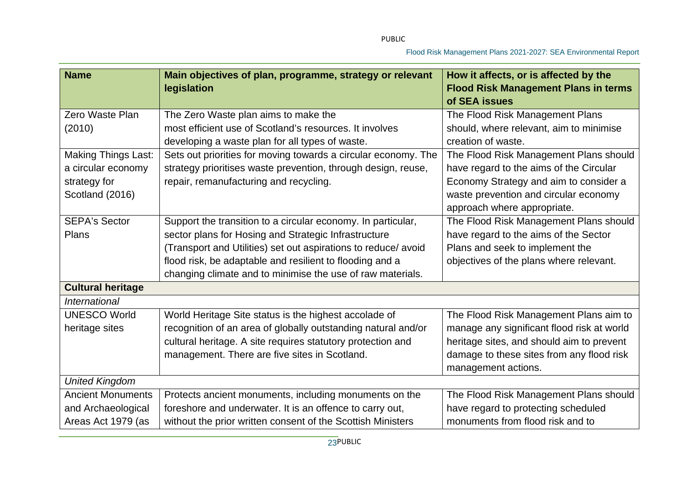| <b>Name</b>                | Main objectives of plan, programme, strategy or relevant<br>legislation | How it affects, or is affected by the<br><b>Flood Risk Management Plans in terms</b> |
|----------------------------|-------------------------------------------------------------------------|--------------------------------------------------------------------------------------|
|                            |                                                                         | of SEA issues                                                                        |
| Zero Waste Plan            | The Zero Waste plan aims to make the                                    | The Flood Risk Management Plans                                                      |
| (2010)                     | most efficient use of Scotland's resources. It involves                 | should, where relevant, aim to minimise                                              |
|                            | developing a waste plan for all types of waste.                         | creation of waste.                                                                   |
| <b>Making Things Last:</b> | Sets out priorities for moving towards a circular economy. The          | The Flood Risk Management Plans should                                               |
| a circular economy         | strategy prioritises waste prevention, through design, reuse,           | have regard to the aims of the Circular                                              |
| strategy for               | repair, remanufacturing and recycling.                                  | Economy Strategy and aim to consider a                                               |
| Scotland (2016)            |                                                                         | waste prevention and circular economy                                                |
|                            |                                                                         | approach where appropriate.                                                          |
| <b>SEPA's Sector</b>       | Support the transition to a circular economy. In particular,            | The Flood Risk Management Plans should                                               |
| Plans                      | sector plans for Hosing and Strategic Infrastructure                    | have regard to the aims of the Sector                                                |
|                            | (Transport and Utilities) set out aspirations to reduce/ avoid          | Plans and seek to implement the                                                      |
|                            | flood risk, be adaptable and resilient to flooding and a                | objectives of the plans where relevant.                                              |
|                            | changing climate and to minimise the use of raw materials.              |                                                                                      |
| <b>Cultural heritage</b>   |                                                                         |                                                                                      |
| <b>International</b>       |                                                                         |                                                                                      |
| <b>UNESCO World</b>        | World Heritage Site status is the highest accolade of                   | The Flood Risk Management Plans aim to                                               |
| heritage sites             | recognition of an area of globally outstanding natural and/or           | manage any significant flood risk at world                                           |
|                            | cultural heritage. A site requires statutory protection and             | heritage sites, and should aim to prevent                                            |
|                            | management. There are five sites in Scotland.                           | damage to these sites from any flood risk                                            |
|                            |                                                                         | management actions.                                                                  |
| <b>United Kingdom</b>      |                                                                         |                                                                                      |
| <b>Ancient Monuments</b>   | Protects ancient monuments, including monuments on the                  | The Flood Risk Management Plans should                                               |
| and Archaeological         | foreshore and underwater. It is an offence to carry out,                | have regard to protecting scheduled                                                  |
| Areas Act 1979 (as         | without the prior written consent of the Scottish Ministers             | monuments from flood risk and to                                                     |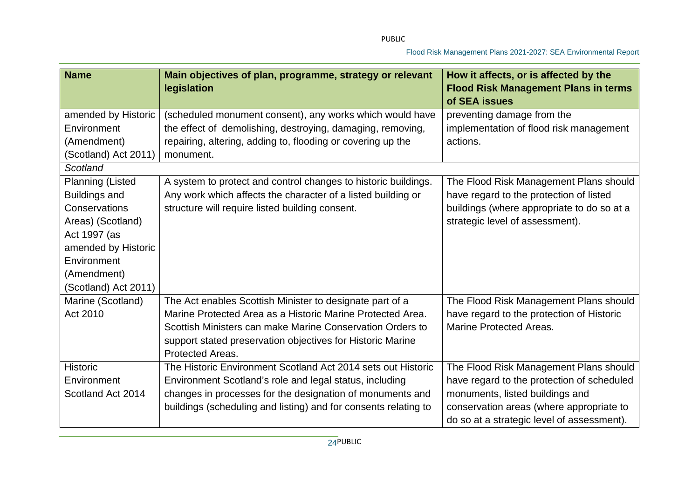| <b>Name</b>             | Main objectives of plan, programme, strategy or relevant<br>legislation | How it affects, or is affected by the<br><b>Flood Risk Management Plans in terms</b><br>of SEA issues |
|-------------------------|-------------------------------------------------------------------------|-------------------------------------------------------------------------------------------------------|
|                         |                                                                         |                                                                                                       |
| amended by Historic     | (scheduled monument consent), any works which would have                | preventing damage from the                                                                            |
| Environment             | the effect of demolishing, destroying, damaging, removing,              | implementation of flood risk management                                                               |
| (Amendment)             | repairing, altering, adding to, flooding or covering up the             | actions.                                                                                              |
| (Scotland) Act 2011)    | monument.                                                               |                                                                                                       |
| Scotland                |                                                                         |                                                                                                       |
| <b>Planning (Listed</b> | A system to protect and control changes to historic buildings.          | The Flood Risk Management Plans should                                                                |
| <b>Buildings and</b>    | Any work which affects the character of a listed building or            | have regard to the protection of listed                                                               |
| Conservations           | structure will require listed building consent.                         | buildings (where appropriate to do so at a                                                            |
| Areas) (Scotland)       |                                                                         | strategic level of assessment).                                                                       |
| Act 1997 (as            |                                                                         |                                                                                                       |
| amended by Historic     |                                                                         |                                                                                                       |
| Environment             |                                                                         |                                                                                                       |
| (Amendment)             |                                                                         |                                                                                                       |
| (Scotland) Act 2011)    |                                                                         |                                                                                                       |
| Marine (Scotland)       | The Act enables Scottish Minister to designate part of a                | The Flood Risk Management Plans should                                                                |
| Act 2010                | Marine Protected Area as a Historic Marine Protected Area.              | have regard to the protection of Historic                                                             |
|                         | Scottish Ministers can make Marine Conservation Orders to               | <b>Marine Protected Areas.</b>                                                                        |
|                         | support stated preservation objectives for Historic Marine              |                                                                                                       |
|                         | Protected Areas.                                                        |                                                                                                       |
| <b>Historic</b>         | The Historic Environment Scotland Act 2014 sets out Historic            | The Flood Risk Management Plans should                                                                |
| Environment             | Environment Scotland's role and legal status, including                 | have regard to the protection of scheduled                                                            |
| Scotland Act 2014       | changes in processes for the designation of monuments and               | monuments, listed buildings and                                                                       |
|                         | buildings (scheduling and listing) and for consents relating to         | conservation areas (where appropriate to                                                              |
|                         |                                                                         | do so at a strategic level of assessment).                                                            |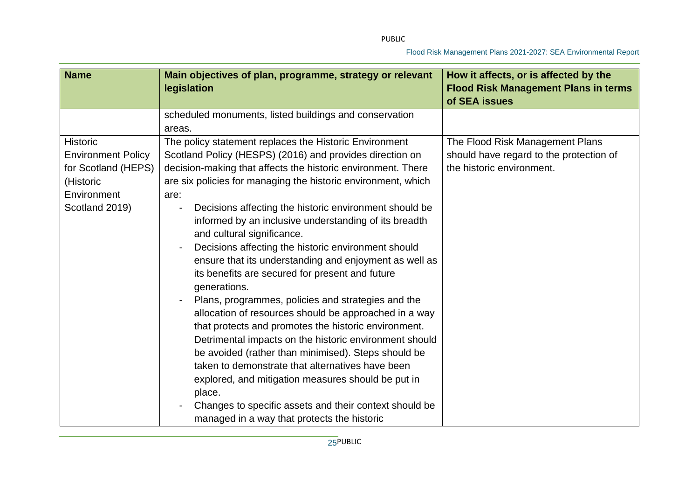| <b>Name</b>               | Main objectives of plan, programme, strategy or relevant<br>legislation | How it affects, or is affected by the<br><b>Flood Risk Management Plans in terms</b><br>of SEA issues |
|---------------------------|-------------------------------------------------------------------------|-------------------------------------------------------------------------------------------------------|
|                           | scheduled monuments, listed buildings and conservation                  |                                                                                                       |
|                           | areas.                                                                  |                                                                                                       |
| <b>Historic</b>           | The policy statement replaces the Historic Environment                  | The Flood Risk Management Plans                                                                       |
| <b>Environment Policy</b> | Scotland Policy (HESPS) (2016) and provides direction on                | should have regard to the protection of                                                               |
| for Scotland (HEPS)       | decision-making that affects the historic environment. There            | the historic environment.                                                                             |
| (Historic                 | are six policies for managing the historic environment, which           |                                                                                                       |
| Environment               | are:                                                                    |                                                                                                       |
| Scotland 2019)            | Decisions affecting the historic environment should be                  |                                                                                                       |
|                           | informed by an inclusive understanding of its breadth                   |                                                                                                       |
|                           | and cultural significance.                                              |                                                                                                       |
|                           | Decisions affecting the historic environment should                     |                                                                                                       |
|                           | ensure that its understanding and enjoyment as well as                  |                                                                                                       |
|                           | its benefits are secured for present and future                         |                                                                                                       |
|                           | generations.                                                            |                                                                                                       |
|                           | Plans, programmes, policies and strategies and the                      |                                                                                                       |
|                           | allocation of resources should be approached in a way                   |                                                                                                       |
|                           | that protects and promotes the historic environment.                    |                                                                                                       |
|                           | Detrimental impacts on the historic environment should                  |                                                                                                       |
|                           | be avoided (rather than minimised). Steps should be                     |                                                                                                       |
|                           | taken to demonstrate that alternatives have been                        |                                                                                                       |
|                           | explored, and mitigation measures should be put in                      |                                                                                                       |
|                           | place.                                                                  |                                                                                                       |
|                           | Changes to specific assets and their context should be                  |                                                                                                       |
|                           | managed in a way that protects the historic                             |                                                                                                       |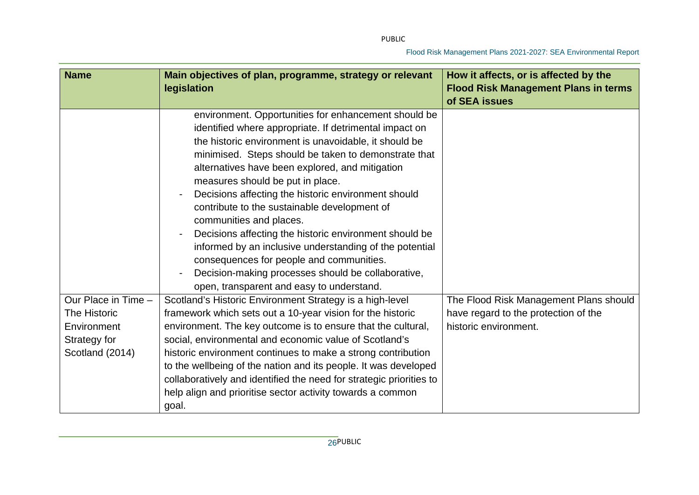| <b>Name</b>                                                                           | Main objectives of plan, programme, strategy or relevant<br>legislation                                                                                                                                                                                                                                                                                                                                                                                                                                                                                                                                                                                                                                                      | How it affects, or is affected by the<br><b>Flood Risk Management Plans in terms</b><br>of SEA issues   |
|---------------------------------------------------------------------------------------|------------------------------------------------------------------------------------------------------------------------------------------------------------------------------------------------------------------------------------------------------------------------------------------------------------------------------------------------------------------------------------------------------------------------------------------------------------------------------------------------------------------------------------------------------------------------------------------------------------------------------------------------------------------------------------------------------------------------------|---------------------------------------------------------------------------------------------------------|
|                                                                                       | environment. Opportunities for enhancement should be<br>identified where appropriate. If detrimental impact on<br>the historic environment is unavoidable, it should be<br>minimised. Steps should be taken to demonstrate that<br>alternatives have been explored, and mitigation<br>measures should be put in place.<br>Decisions affecting the historic environment should<br>contribute to the sustainable development of<br>communities and places.<br>Decisions affecting the historic environment should be<br>informed by an inclusive understanding of the potential<br>consequences for people and communities.<br>Decision-making processes should be collaborative,<br>open, transparent and easy to understand. |                                                                                                         |
| Our Place in Time -<br>The Historic<br>Environment<br>Strategy for<br>Scotland (2014) | Scotland's Historic Environment Strategy is a high-level<br>framework which sets out a 10-year vision for the historic<br>environment. The key outcome is to ensure that the cultural,<br>social, environmental and economic value of Scotland's<br>historic environment continues to make a strong contribution<br>to the wellbeing of the nation and its people. It was developed<br>collaboratively and identified the need for strategic priorities to<br>help align and prioritise sector activity towards a common<br>goal.                                                                                                                                                                                            | The Flood Risk Management Plans should<br>have regard to the protection of the<br>historic environment. |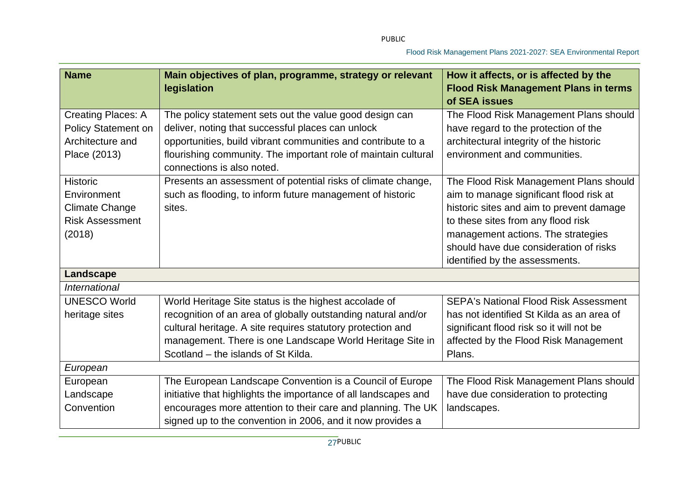| <b>Name</b>                | Main objectives of plan, programme, strategy or relevant<br>legislation                      | How it affects, or is affected by the<br><b>Flood Risk Management Plans in terms</b><br>of SEA issues |
|----------------------------|----------------------------------------------------------------------------------------------|-------------------------------------------------------------------------------------------------------|
| <b>Creating Places: A</b>  | The policy statement sets out the value good design can                                      | The Flood Risk Management Plans should                                                                |
| <b>Policy Statement on</b> | deliver, noting that successful places can unlock                                            | have regard to the protection of the                                                                  |
| Architecture and           | opportunities, build vibrant communities and contribute to a                                 | architectural integrity of the historic                                                               |
| Place (2013)               | flourishing community. The important role of maintain cultural<br>connections is also noted. | environment and communities.                                                                          |
| Historic                   | Presents an assessment of potential risks of climate change,                                 | The Flood Risk Management Plans should                                                                |
| Environment                | such as flooding, to inform future management of historic                                    | aim to manage significant flood risk at                                                               |
| Climate Change             | sites.                                                                                       | historic sites and aim to prevent damage                                                              |
| <b>Risk Assessment</b>     |                                                                                              | to these sites from any flood risk                                                                    |
| (2018)                     |                                                                                              | management actions. The strategies                                                                    |
|                            |                                                                                              | should have due consideration of risks                                                                |
|                            |                                                                                              | identified by the assessments.                                                                        |
| Landscape                  |                                                                                              |                                                                                                       |
| International              |                                                                                              |                                                                                                       |
| <b>UNESCO World</b>        | World Heritage Site status is the highest accolade of                                        | <b>SEPA's National Flood Risk Assessment</b>                                                          |
| heritage sites             | recognition of an area of globally outstanding natural and/or                                | has not identified St Kilda as an area of                                                             |
|                            | cultural heritage. A site requires statutory protection and                                  | significant flood risk so it will not be                                                              |
|                            | management. There is one Landscape World Heritage Site in                                    | affected by the Flood Risk Management                                                                 |
|                            | Scotland – the islands of St Kilda.                                                          | Plans.                                                                                                |
| European                   |                                                                                              |                                                                                                       |
| European                   | The European Landscape Convention is a Council of Europe                                     | The Flood Risk Management Plans should                                                                |
| Landscape                  | initiative that highlights the importance of all landscapes and                              | have due consideration to protecting                                                                  |
| Convention                 | encourages more attention to their care and planning. The UK                                 | landscapes.                                                                                           |
|                            | signed up to the convention in 2006, and it now provides a                                   |                                                                                                       |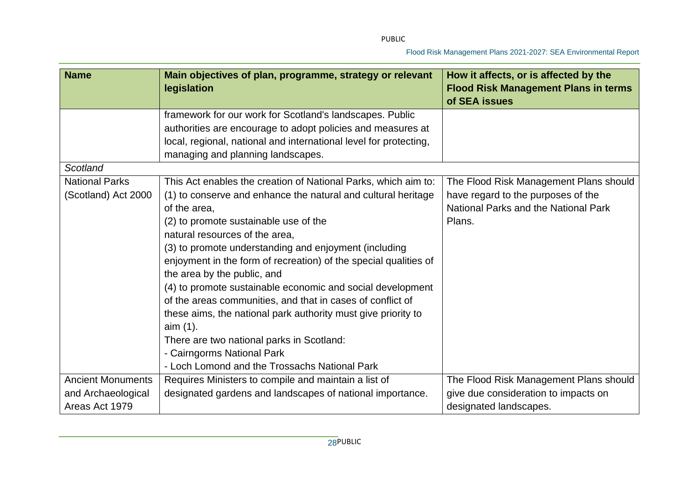| <b>Name</b>                                  | Main objectives of plan, programme, strategy or relevant<br>legislation                                                                                                                                                                                                                                                                                                                                                                                                                                                                                                                                                                                                                                                     | How it affects, or is affected by the<br><b>Flood Risk Management Plans in terms</b><br>of SEA issues                          |
|----------------------------------------------|-----------------------------------------------------------------------------------------------------------------------------------------------------------------------------------------------------------------------------------------------------------------------------------------------------------------------------------------------------------------------------------------------------------------------------------------------------------------------------------------------------------------------------------------------------------------------------------------------------------------------------------------------------------------------------------------------------------------------------|--------------------------------------------------------------------------------------------------------------------------------|
|                                              | framework for our work for Scotland's landscapes. Public<br>authorities are encourage to adopt policies and measures at<br>local, regional, national and international level for protecting,<br>managing and planning landscapes.                                                                                                                                                                                                                                                                                                                                                                                                                                                                                           |                                                                                                                                |
| Scotland                                     |                                                                                                                                                                                                                                                                                                                                                                                                                                                                                                                                                                                                                                                                                                                             |                                                                                                                                |
| <b>National Parks</b><br>(Scotland) Act 2000 | This Act enables the creation of National Parks, which aim to:<br>(1) to conserve and enhance the natural and cultural heritage<br>of the area,<br>(2) to promote sustainable use of the<br>natural resources of the area,<br>(3) to promote understanding and enjoyment (including<br>enjoyment in the form of recreation) of the special qualities of<br>the area by the public, and<br>(4) to promote sustainable economic and social development<br>of the areas communities, and that in cases of conflict of<br>these aims, the national park authority must give priority to<br>aim (1).<br>There are two national parks in Scotland:<br>- Cairngorms National Park<br>- Loch Lomond and the Trossachs National Park | The Flood Risk Management Plans should<br>have regard to the purposes of the<br>National Parks and the National Park<br>Plans. |
| <b>Ancient Monuments</b>                     | Requires Ministers to compile and maintain a list of                                                                                                                                                                                                                                                                                                                                                                                                                                                                                                                                                                                                                                                                        | The Flood Risk Management Plans should                                                                                         |
| and Archaeological<br>Areas Act 1979         | designated gardens and landscapes of national importance.                                                                                                                                                                                                                                                                                                                                                                                                                                                                                                                                                                                                                                                                   | give due consideration to impacts on<br>designated landscapes.                                                                 |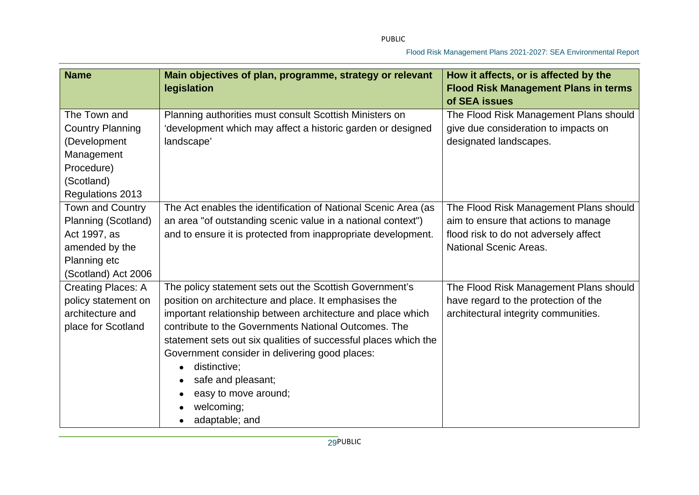| <b>Name</b>                                                                                                             | Main objectives of plan, programme, strategy or relevant<br>legislation                                                                                                                                                                                                                                                                                                                                                                                    | How it affects, or is affected by the<br><b>Flood Risk Management Plans in terms</b><br>of SEA issues                                                    |
|-------------------------------------------------------------------------------------------------------------------------|------------------------------------------------------------------------------------------------------------------------------------------------------------------------------------------------------------------------------------------------------------------------------------------------------------------------------------------------------------------------------------------------------------------------------------------------------------|----------------------------------------------------------------------------------------------------------------------------------------------------------|
| The Town and<br><b>Country Planning</b><br>(Development<br>Management<br>Procedure)<br>(Scotland)<br>Regulations 2013   | Planning authorities must consult Scottish Ministers on<br>development which may affect a historic garden or designed<br>landscape'                                                                                                                                                                                                                                                                                                                        | The Flood Risk Management Plans should<br>give due consideration to impacts on<br>designated landscapes.                                                 |
| <b>Town and Country</b><br>Planning (Scotland)<br>Act 1997, as<br>amended by the<br>Planning etc<br>(Scotland) Act 2006 | The Act enables the identification of National Scenic Area (as<br>an area "of outstanding scenic value in a national context")<br>and to ensure it is protected from inappropriate development.                                                                                                                                                                                                                                                            | The Flood Risk Management Plans should<br>aim to ensure that actions to manage<br>flood risk to do not adversely affect<br><b>National Scenic Areas.</b> |
| <b>Creating Places: A</b><br>policy statement on<br>architecture and<br>place for Scotland                              | The policy statement sets out the Scottish Government's<br>position on architecture and place. It emphasises the<br>important relationship between architecture and place which<br>contribute to the Governments National Outcomes. The<br>statement sets out six qualities of successful places which the<br>Government consider in delivering good places:<br>distinctive;<br>safe and pleasant;<br>easy to move around;<br>welcoming;<br>adaptable; and | The Flood Risk Management Plans should<br>have regard to the protection of the<br>architectural integrity communities.                                   |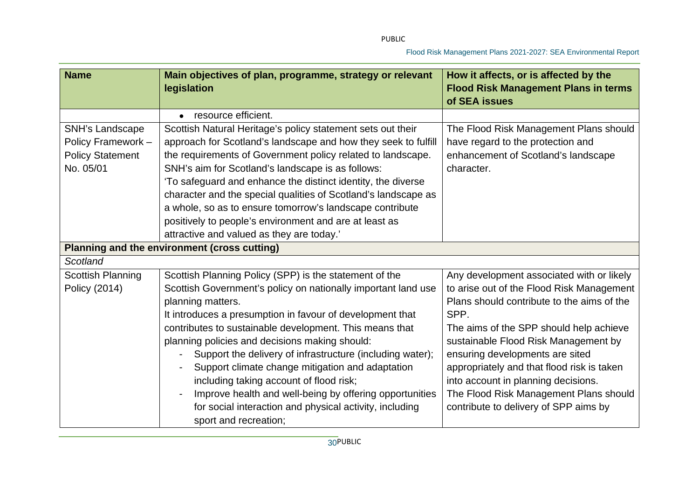| <b>Name</b>                                                                               | Main objectives of plan, programme, strategy or relevant<br>legislation                                                                                                            | How it affects, or is affected by the<br><b>Flood Risk Management Plans in terms</b><br>of SEA issues |
|-------------------------------------------------------------------------------------------|------------------------------------------------------------------------------------------------------------------------------------------------------------------------------------|-------------------------------------------------------------------------------------------------------|
| <b>SNH's Landscape</b>                                                                    | resource efficient.<br>$\bullet$<br>Scottish Natural Heritage's policy statement sets out their                                                                                    | The Flood Risk Management Plans should<br>have regard to the protection and                           |
| Policy Framework -<br><b>Policy Statement</b><br>No. 05/01                                | approach for Scotland's landscape and how they seek to fulfill<br>the requirements of Government policy related to landscape.<br>SNH's aim for Scotland's landscape is as follows: | enhancement of Scotland's landscape<br>character.                                                     |
|                                                                                           | 'To safeguard and enhance the distinct identity, the diverse<br>character and the special qualities of Scotland's landscape as                                                     |                                                                                                       |
|                                                                                           | a whole, so as to ensure tomorrow's landscape contribute<br>positively to people's environment and are at least as                                                                 |                                                                                                       |
| attractive and valued as they are today.'<br>Planning and the environment (cross cutting) |                                                                                                                                                                                    |                                                                                                       |
| Scotland                                                                                  |                                                                                                                                                                                    |                                                                                                       |
| <b>Scottish Planning</b>                                                                  | Scottish Planning Policy (SPP) is the statement of the                                                                                                                             | Any development associated with or likely                                                             |
| Policy (2014)                                                                             | Scottish Government's policy on nationally important land use                                                                                                                      | to arise out of the Flood Risk Management                                                             |
|                                                                                           | planning matters.                                                                                                                                                                  | Plans should contribute to the aims of the                                                            |
|                                                                                           | It introduces a presumption in favour of development that                                                                                                                          | SPP.                                                                                                  |
|                                                                                           | contributes to sustainable development. This means that                                                                                                                            | The aims of the SPP should help achieve                                                               |
|                                                                                           | planning policies and decisions making should:<br>Support the delivery of infrastructure (including water);                                                                        | sustainable Flood Risk Management by<br>ensuring developments are sited                               |
|                                                                                           | Support climate change mitigation and adaptation                                                                                                                                   | appropriately and that flood risk is taken                                                            |
|                                                                                           | including taking account of flood risk;                                                                                                                                            | into account in planning decisions.                                                                   |
|                                                                                           | Improve health and well-being by offering opportunities                                                                                                                            | The Flood Risk Management Plans should                                                                |
|                                                                                           | for social interaction and physical activity, including<br>sport and recreation;                                                                                                   | contribute to delivery of SPP aims by                                                                 |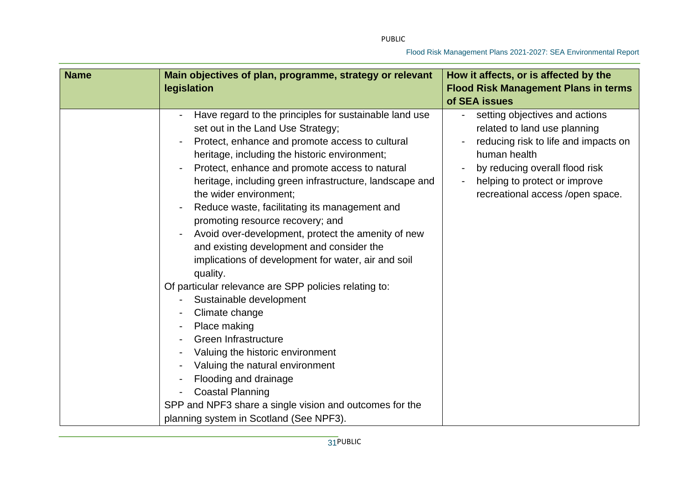| <b>Name</b> | Main objectives of plan, programme, strategy or relevant<br>legislation                                                                                                                                                                                                                                                                                                                                                                                                                                                                                                                                                                                                                                                                                                                                                                                                                                                                                                          | How it affects, or is affected by the<br><b>Flood Risk Management Plans in terms</b><br>of SEA issues                                                                                                                         |
|-------------|----------------------------------------------------------------------------------------------------------------------------------------------------------------------------------------------------------------------------------------------------------------------------------------------------------------------------------------------------------------------------------------------------------------------------------------------------------------------------------------------------------------------------------------------------------------------------------------------------------------------------------------------------------------------------------------------------------------------------------------------------------------------------------------------------------------------------------------------------------------------------------------------------------------------------------------------------------------------------------|-------------------------------------------------------------------------------------------------------------------------------------------------------------------------------------------------------------------------------|
|             | Have regard to the principles for sustainable land use<br>set out in the Land Use Strategy;<br>Protect, enhance and promote access to cultural<br>heritage, including the historic environment;<br>Protect, enhance and promote access to natural<br>heritage, including green infrastructure, landscape and<br>the wider environment;<br>Reduce waste, facilitating its management and<br>promoting resource recovery; and<br>Avoid over-development, protect the amenity of new<br>and existing development and consider the<br>implications of development for water, air and soil<br>quality.<br>Of particular relevance are SPP policies relating to:<br>Sustainable development<br>Climate change<br>Place making<br>Green Infrastructure<br>Valuing the historic environment<br>Valuing the natural environment<br>Flooding and drainage<br><b>Coastal Planning</b><br>SPP and NPF3 share a single vision and outcomes for the<br>planning system in Scotland (See NPF3). | setting objectives and actions<br>related to land use planning<br>reducing risk to life and impacts on<br>human health<br>by reducing overall flood risk<br>helping to protect or improve<br>recreational access /open space. |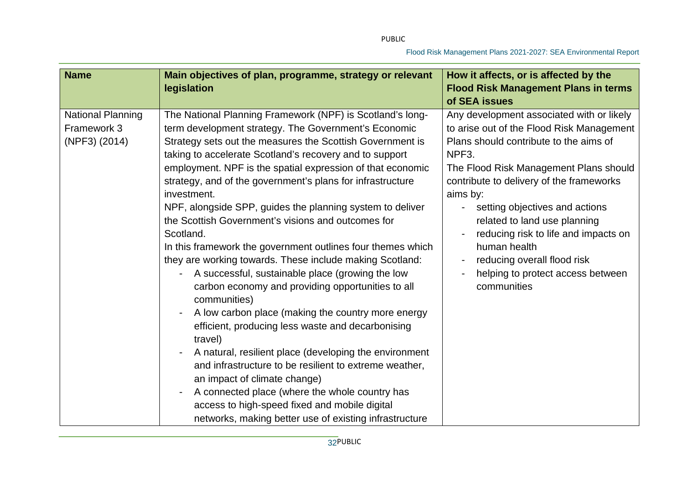| <b>Name</b>                                              | Main objectives of plan, programme, strategy or relevant<br>legislation                                                                                                                                                                                                                                                                                                                                                                                                                                                                                                                                                                                                                                                                                                                                                                                                                                                                                                                                                                                                                                                                                                                                         | How it affects, or is affected by the<br><b>Flood Risk Management Plans in terms</b><br>of SEA issues                                                                                                                                                                                                                                                                                                                                                                                   |
|----------------------------------------------------------|-----------------------------------------------------------------------------------------------------------------------------------------------------------------------------------------------------------------------------------------------------------------------------------------------------------------------------------------------------------------------------------------------------------------------------------------------------------------------------------------------------------------------------------------------------------------------------------------------------------------------------------------------------------------------------------------------------------------------------------------------------------------------------------------------------------------------------------------------------------------------------------------------------------------------------------------------------------------------------------------------------------------------------------------------------------------------------------------------------------------------------------------------------------------------------------------------------------------|-----------------------------------------------------------------------------------------------------------------------------------------------------------------------------------------------------------------------------------------------------------------------------------------------------------------------------------------------------------------------------------------------------------------------------------------------------------------------------------------|
| <b>National Planning</b><br>Framework 3<br>(NPF3) (2014) | The National Planning Framework (NPF) is Scotland's long-<br>term development strategy. The Government's Economic<br>Strategy sets out the measures the Scottish Government is<br>taking to accelerate Scotland's recovery and to support<br>employment. NPF is the spatial expression of that economic<br>strategy, and of the government's plans for infrastructure<br>investment.<br>NPF, alongside SPP, guides the planning system to deliver<br>the Scottish Government's visions and outcomes for<br>Scotland.<br>In this framework the government outlines four themes which<br>they are working towards. These include making Scotland:<br>A successful, sustainable place (growing the low<br>carbon economy and providing opportunities to all<br>communities)<br>A low carbon place (making the country more energy<br>efficient, producing less waste and decarbonising<br>travel)<br>A natural, resilient place (developing the environment<br>and infrastructure to be resilient to extreme weather,<br>an impact of climate change)<br>A connected place (where the whole country has<br>access to high-speed fixed and mobile digital<br>networks, making better use of existing infrastructure | Any development associated with or likely<br>to arise out of the Flood Risk Management<br>Plans should contribute to the aims of<br>NPF <sub>3</sub> .<br>The Flood Risk Management Plans should<br>contribute to delivery of the frameworks<br>aims by:<br>setting objectives and actions<br>related to land use planning<br>reducing risk to life and impacts on<br>human health<br>reducing overall flood risk<br>$\blacksquare$<br>helping to protect access between<br>communities |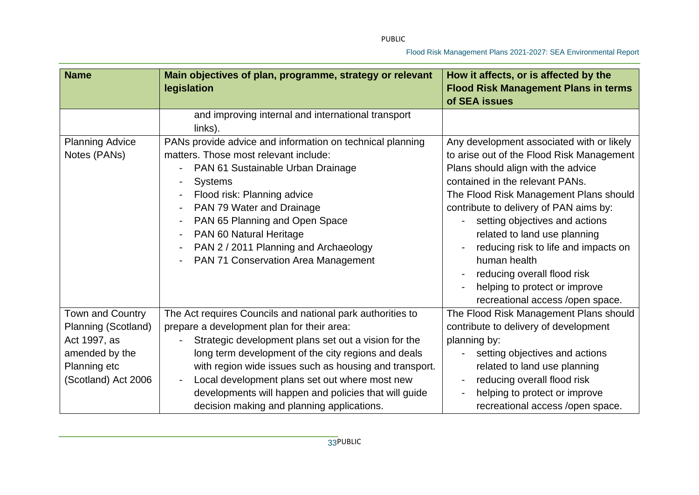| <b>Name</b>            | Main objectives of plan, programme, strategy or relevant<br>legislation | How it affects, or is affected by the<br><b>Flood Risk Management Plans in terms</b> |  |
|------------------------|-------------------------------------------------------------------------|--------------------------------------------------------------------------------------|--|
|                        | and improving internal and international transport                      | of SEA issues                                                                        |  |
|                        | links).                                                                 |                                                                                      |  |
| <b>Planning Advice</b> | PANs provide advice and information on technical planning               | Any development associated with or likely                                            |  |
| Notes (PANs)           | matters. Those most relevant include:                                   | to arise out of the Flood Risk Management                                            |  |
|                        | PAN 61 Sustainable Urban Drainage                                       | Plans should align with the advice                                                   |  |
|                        | <b>Systems</b>                                                          | contained in the relevant PANs.                                                      |  |
|                        | Flood risk: Planning advice                                             | The Flood Risk Management Plans should                                               |  |
|                        | PAN 79 Water and Drainage                                               | contribute to delivery of PAN aims by:                                               |  |
|                        | PAN 65 Planning and Open Space<br>$\overline{\phantom{a}}$              | setting objectives and actions                                                       |  |
|                        | PAN 60 Natural Heritage                                                 | related to land use planning                                                         |  |
|                        | PAN 2 / 2011 Planning and Archaeology                                   | reducing risk to life and impacts on                                                 |  |
|                        | PAN 71 Conservation Area Management                                     | human health                                                                         |  |
|                        |                                                                         | reducing overall flood risk                                                          |  |
|                        |                                                                         | helping to protect or improve                                                        |  |
|                        |                                                                         | recreational access /open space.                                                     |  |
| Town and Country       | The Act requires Councils and national park authorities to              | The Flood Risk Management Plans should                                               |  |
| Planning (Scotland)    | prepare a development plan for their area:                              | contribute to delivery of development                                                |  |
| Act 1997, as           | Strategic development plans set out a vision for the                    | planning by:                                                                         |  |
| amended by the         | long term development of the city regions and deals                     | setting objectives and actions                                                       |  |
| Planning etc           | with region wide issues such as housing and transport.                  | related to land use planning                                                         |  |
| (Scotland) Act 2006    | Local development plans set out where most new                          | reducing overall flood risk                                                          |  |
|                        | developments will happen and policies that will guide                   | helping to protect or improve                                                        |  |
|                        | decision making and planning applications.                              | recreational access /open space.                                                     |  |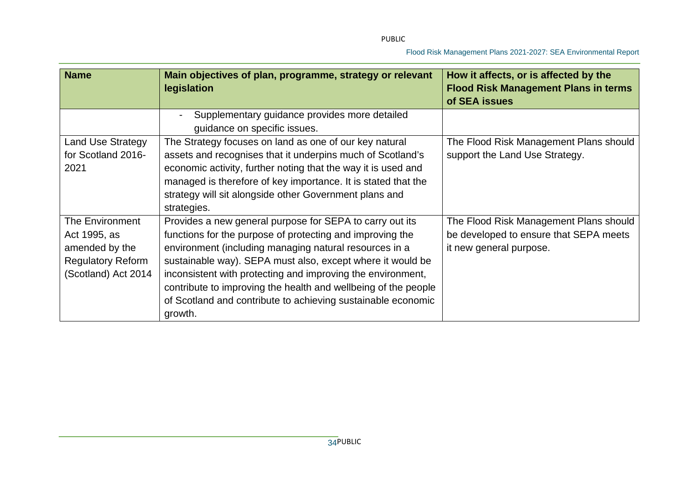| <b>Name</b>                                                                                          | Main objectives of plan, programme, strategy or relevant<br>legislation                                                                                                                                                                                                                                                                                                                                                                                   | How it affects, or is affected by the<br><b>Flood Risk Management Plans in terms</b><br>of SEA issues       |
|------------------------------------------------------------------------------------------------------|-----------------------------------------------------------------------------------------------------------------------------------------------------------------------------------------------------------------------------------------------------------------------------------------------------------------------------------------------------------------------------------------------------------------------------------------------------------|-------------------------------------------------------------------------------------------------------------|
|                                                                                                      | Supplementary guidance provides more detailed<br>guidance on specific issues.                                                                                                                                                                                                                                                                                                                                                                             |                                                                                                             |
| <b>Land Use Strategy</b><br>for Scotland 2016-<br>2021                                               | The Strategy focuses on land as one of our key natural<br>assets and recognises that it underpins much of Scotland's<br>economic activity, further noting that the way it is used and<br>managed is therefore of key importance. It is stated that the<br>strategy will sit alongside other Government plans and<br>strategies.                                                                                                                           | The Flood Risk Management Plans should<br>support the Land Use Strategy.                                    |
| The Environment<br>Act 1995, as<br>amended by the<br><b>Regulatory Reform</b><br>(Scotland) Act 2014 | Provides a new general purpose for SEPA to carry out its<br>functions for the purpose of protecting and improving the<br>environment (including managing natural resources in a<br>sustainable way). SEPA must also, except where it would be<br>inconsistent with protecting and improving the environment,<br>contribute to improving the health and wellbeing of the people<br>of Scotland and contribute to achieving sustainable economic<br>growth. | The Flood Risk Management Plans should<br>be developed to ensure that SEPA meets<br>it new general purpose. |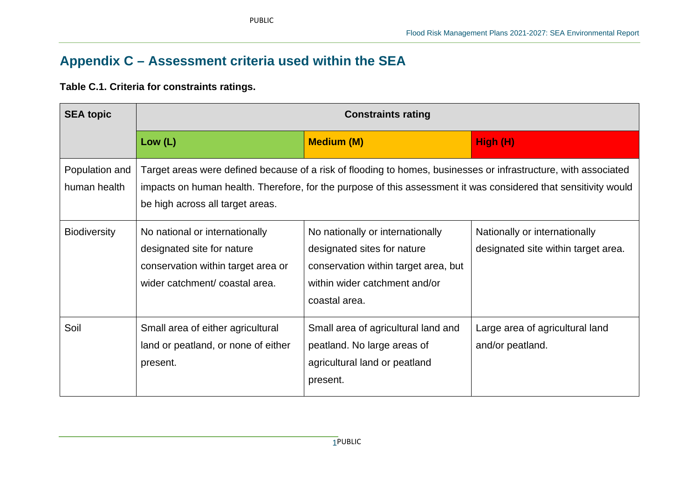# **Appendix C – Assessment criteria used within the SEA**

### **Table C.1. Criteria for constraints ratings.**

| <b>SEA topic</b>               | <b>Constraints rating</b>                                                                                                                                                                                                                                              |                                                                                                                                                           |                                                                      |
|--------------------------------|------------------------------------------------------------------------------------------------------------------------------------------------------------------------------------------------------------------------------------------------------------------------|-----------------------------------------------------------------------------------------------------------------------------------------------------------|----------------------------------------------------------------------|
|                                | Low $(L)$                                                                                                                                                                                                                                                              | <b>Medium (M)</b>                                                                                                                                         | High (H)                                                             |
| Population and<br>human health | Target areas were defined because of a risk of flooding to homes, businesses or infrastructure, with associated<br>impacts on human health. Therefore, for the purpose of this assessment it was considered that sensitivity would<br>be high across all target areas. |                                                                                                                                                           |                                                                      |
| <b>Biodiversity</b>            | No national or internationally<br>designated site for nature<br>conservation within target area or<br>wider catchment/coastal area.                                                                                                                                    | No nationally or internationally<br>designated sites for nature<br>conservation within target area, but<br>within wider catchment and/or<br>coastal area. | Nationally or internationally<br>designated site within target area. |
| Soil                           | Small area of either agricultural<br>land or peatland, or none of either<br>present.                                                                                                                                                                                   | Small area of agricultural land and<br>peatland. No large areas of<br>agricultural land or peatland<br>present.                                           | Large area of agricultural land<br>and/or peatland.                  |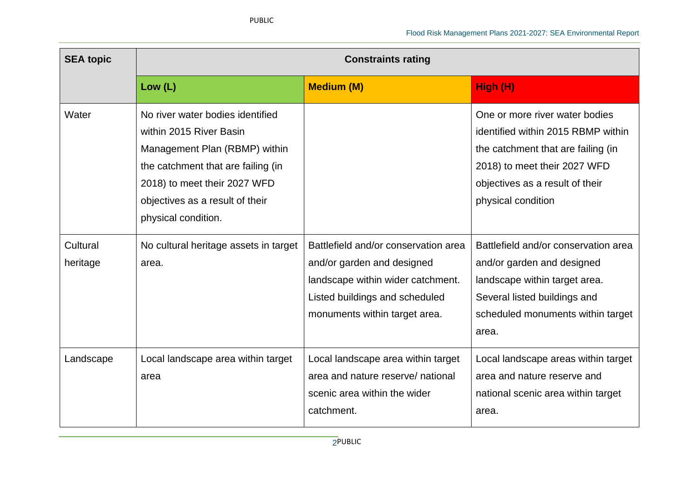| <b>SEA topic</b>     | <b>Constraints rating</b>                                                                                                                                                                                                    |                                                                                                                                                                            |                                                                                                                                                                                                     |
|----------------------|------------------------------------------------------------------------------------------------------------------------------------------------------------------------------------------------------------------------------|----------------------------------------------------------------------------------------------------------------------------------------------------------------------------|-----------------------------------------------------------------------------------------------------------------------------------------------------------------------------------------------------|
|                      | Low $(L)$                                                                                                                                                                                                                    | <b>Medium (M)</b>                                                                                                                                                          | High (H)                                                                                                                                                                                            |
| Water                | No river water bodies identified<br>within 2015 River Basin<br>Management Plan (RBMP) within<br>the catchment that are failing (in<br>2018) to meet their 2027 WFD<br>objectives as a result of their<br>physical condition. |                                                                                                                                                                            | One or more river water bodies<br>identified within 2015 RBMP within<br>the catchment that are failing (in<br>2018) to meet their 2027 WFD<br>objectives as a result of their<br>physical condition |
| Cultural<br>heritage | No cultural heritage assets in target<br>area.                                                                                                                                                                               | Battlefield and/or conservation area<br>and/or garden and designed<br>landscape within wider catchment.<br>Listed buildings and scheduled<br>monuments within target area. | Battlefield and/or conservation area<br>and/or garden and designed<br>landscape within target area.<br>Several listed buildings and<br>scheduled monuments within target<br>area.                   |
| Landscape            | Local landscape area within target<br>area                                                                                                                                                                                   | Local landscape area within target<br>area and nature reserve/ national<br>scenic area within the wider<br>catchment.                                                      | Local landscape areas within target<br>area and nature reserve and<br>national scenic area within target<br>area.                                                                                   |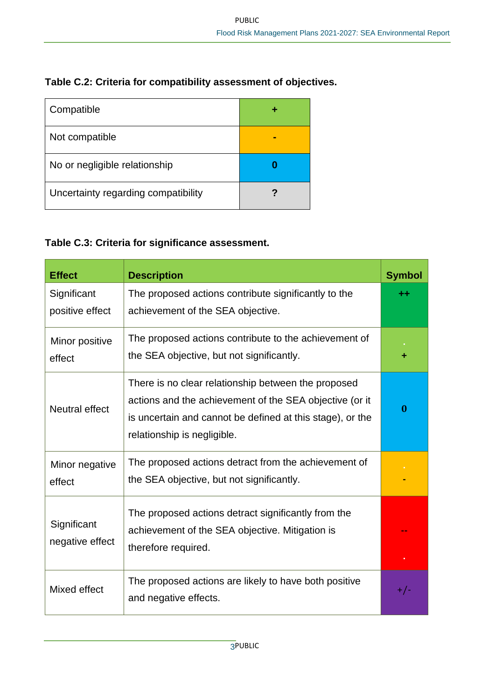| Table C.2: Criteria for compatibility assessment of objectives. |
|-----------------------------------------------------------------|
|-----------------------------------------------------------------|

| Compatible                          |  |
|-------------------------------------|--|
| Not compatible                      |  |
| No or negligible relationship       |  |
| Uncertainty regarding compatibility |  |

## **Table C.3: Criteria for significance assessment.**

| <b>Effect</b>                  | <b>Description</b>                                                                                                                                                                                         | <b>Symbol</b> |
|--------------------------------|------------------------------------------------------------------------------------------------------------------------------------------------------------------------------------------------------------|---------------|
| Significant<br>positive effect | The proposed actions contribute significantly to the<br>achievement of the SEA objective.                                                                                                                  | ++            |
| Minor positive<br>effect       | The proposed actions contribute to the achievement of<br>the SEA objective, but not significantly.                                                                                                         |               |
| Neutral effect                 | There is no clear relationship between the proposed<br>actions and the achievement of the SEA objective (or it<br>is uncertain and cannot be defined at this stage), or the<br>relationship is negligible. | 0             |
| Minor negative<br>effect       | The proposed actions detract from the achievement of<br>the SEA objective, but not significantly.                                                                                                          |               |
| Significant<br>negative effect | The proposed actions detract significantly from the<br>achievement of the SEA objective. Mitigation is<br>therefore required.                                                                              |               |
| Mixed effect                   | The proposed actions are likely to have both positive<br>and negative effects.                                                                                                                             | $+/-$         |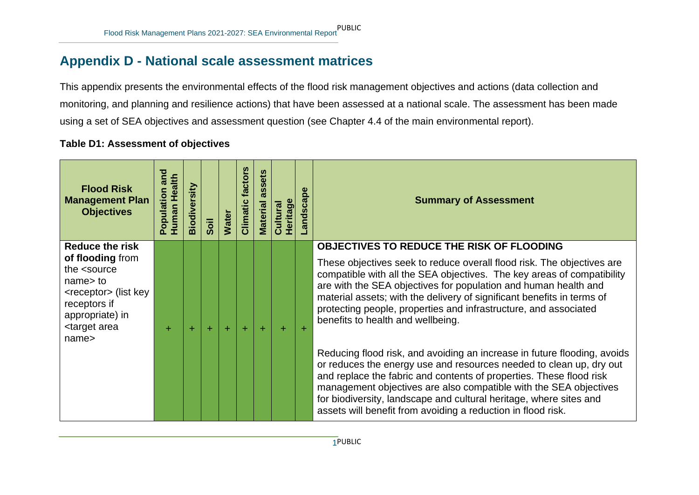# **Appendix D - National scale assessment matrices**

This appendix presents the environmental effects of the flood risk management objectives and actions (data collection and monitoring, and planning and resilience actions) that have been assessed at a national scale. The assessment has been made using a set of SEA objectives and assessment question (see Chapter 4.4 of the main environmental report).

#### **Table D1: Assessment of objectives**

| <b>Flood Risk</b><br><b>Management Plan</b><br><b>Objectives</b>                                                                                                                      | and<br>Human Health<br>noitaludoc | Biodiversity | Soil  | <b>Water</b> | factors<br>Climatic | ets<br>Ø.<br><b>SC</b><br><b>Material</b> | Heritage<br>Cultural | ndscape | <b>Summary of Assessment</b>                                                                                                                                                                                                                                                                                                                                                                                                      |
|---------------------------------------------------------------------------------------------------------------------------------------------------------------------------------------|-----------------------------------|--------------|-------|--------------|---------------------|-------------------------------------------|----------------------|---------|-----------------------------------------------------------------------------------------------------------------------------------------------------------------------------------------------------------------------------------------------------------------------------------------------------------------------------------------------------------------------------------------------------------------------------------|
| <b>Reduce the risk</b>                                                                                                                                                                |                                   |              |       |              |                     |                                           |                      |         | <b>OBJECTIVES TO REDUCE THE RISK OF FLOODING</b>                                                                                                                                                                                                                                                                                                                                                                                  |
| of flooding from<br>the <source<br>name &gt; to<br/><receptor> (list key<br/>receptors if<br/>appropriate) in<br/><target area<br="">name<sub>5</sub></target></receptor></source<br> | ÷                                 | ÷            | $\pm$ | $+$          | $\pm$               | ÷                                         | ÷.                   |         | These objectives seek to reduce overall flood risk. The objectives are<br>compatible with all the SEA objectives. The key areas of compatibility<br>are with the SEA objectives for population and human health and<br>material assets; with the delivery of significant benefits in terms of<br>protecting people, properties and infrastructure, and associated<br>benefits to health and wellbeing.                            |
|                                                                                                                                                                                       |                                   |              |       |              |                     |                                           |                      |         | Reducing flood risk, and avoiding an increase in future flooding, avoids<br>or reduces the energy use and resources needed to clean up, dry out<br>and replace the fabric and contents of properties. These flood risk<br>management objectives are also compatible with the SEA objectives<br>for biodiversity, landscape and cultural heritage, where sites and<br>assets will benefit from avoiding a reduction in flood risk. |

1 PUBLIC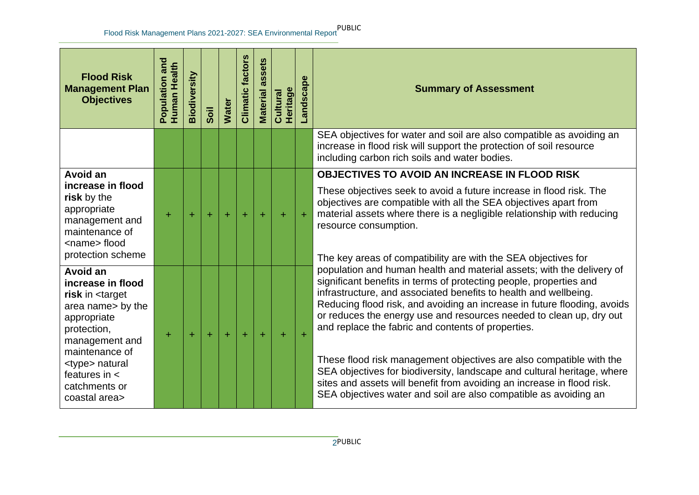| <b>Flood Risk</b><br><b>Management Plan</b><br><b>Objectives</b>                                                                                                                                                                                              | Population and<br>Human Health | Biodiversity | Soil  | <b>Water</b> | <b>Climatic factors</b> | assets<br>Material | <b>Heritage</b><br>Cultural | andscape | <b>Summary of Assessment</b>                                                                                                                                                                                                                                                                                                                                                                                                                                                                                                                                                                                                                                                                                             |
|---------------------------------------------------------------------------------------------------------------------------------------------------------------------------------------------------------------------------------------------------------------|--------------------------------|--------------|-------|--------------|-------------------------|--------------------|-----------------------------|----------|--------------------------------------------------------------------------------------------------------------------------------------------------------------------------------------------------------------------------------------------------------------------------------------------------------------------------------------------------------------------------------------------------------------------------------------------------------------------------------------------------------------------------------------------------------------------------------------------------------------------------------------------------------------------------------------------------------------------------|
|                                                                                                                                                                                                                                                               |                                |              |       |              |                         |                    |                             |          | SEA objectives for water and soil are also compatible as avoiding an<br>increase in flood risk will support the protection of soil resource<br>including carbon rich soils and water bodies.                                                                                                                                                                                                                                                                                                                                                                                                                                                                                                                             |
| Avoid an<br>increase in flood<br>risk by the<br>appropriate<br>management and<br>maintenance of<br><name> flood<br/>protection scheme</name>                                                                                                                  | ÷                              | $\pm$        | $\pm$ | ÷            | $+$                     | $\ddot{}$          | $\ddot{}$                   |          | <b>OBJECTIVES TO AVOID AN INCREASE IN FLOOD RISK</b><br>These objectives seek to avoid a future increase in flood risk. The<br>objectives are compatible with all the SEA objectives apart from<br>material assets where there is a negligible relationship with reducing<br>resource consumption.<br>The key areas of compatibility are with the SEA objectives for                                                                                                                                                                                                                                                                                                                                                     |
| Avoid an<br>increase in flood<br>risk in <target<br>area name &gt; by the<br/>appropriate<br/>protection,<br/>management and<br/>maintenance of<br/><type> natural<br/>features in <math>\lt</math><br/>catchments or<br/>coastal area&gt;</type></target<br> | ÷                              | ÷            | $\pm$ | ÷            | $+$                     | $+$                | $\pm$                       | $\pm$    | population and human health and material assets; with the delivery of<br>significant benefits in terms of protecting people, properties and<br>infrastructure, and associated benefits to health and wellbeing.<br>Reducing flood risk, and avoiding an increase in future flooding, avoids<br>or reduces the energy use and resources needed to clean up, dry out<br>and replace the fabric and contents of properties.<br>These flood risk management objectives are also compatible with the<br>SEA objectives for biodiversity, landscape and cultural heritage, where<br>sites and assets will benefit from avoiding an increase in flood risk.<br>SEA objectives water and soil are also compatible as avoiding an |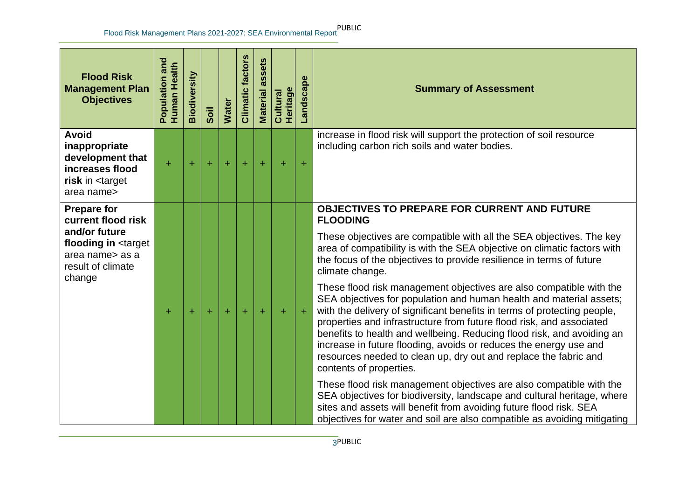| <b>Flood Risk</b><br><b>Management Plan</b><br><b>Objectives</b>                                                                                    | Population and<br>Human Health | Biodiversity | Soil      | <b>Water</b> | <b>Climatic factors</b> | assets<br><b>Material</b> | <b>Heritage</b><br>Cultural | Landscape | <b>Summary of Assessment</b>                                                                                                                                                                                                                                                                                                                                                                                                                                        |
|-----------------------------------------------------------------------------------------------------------------------------------------------------|--------------------------------|--------------|-----------|--------------|-------------------------|---------------------------|-----------------------------|-----------|---------------------------------------------------------------------------------------------------------------------------------------------------------------------------------------------------------------------------------------------------------------------------------------------------------------------------------------------------------------------------------------------------------------------------------------------------------------------|
| <b>Avoid</b><br>inappropriate<br>development that<br>increases flood<br>risk in <target<br>area name&gt;</target<br>                                | Ŧ                              | ÷            | $\ddot{}$ | $\pm$        | $\pm$                   | $\ddot{}$                 | $\ddot{}$                   | $\pm$     | increase in flood risk will support the protection of soil resource<br>including carbon rich soils and water bodies.                                                                                                                                                                                                                                                                                                                                                |
| <b>Prepare for</b><br>current flood risk<br>and/or future<br>flooding in <target<br>area name&gt; as a<br/>result of climate<br/>change</target<br> |                                |              |           |              |                         |                           |                             |           | <b>OBJECTIVES TO PREPARE FOR CURRENT AND FUTURE</b><br><b>FLOODING</b><br>These objectives are compatible with all the SEA objectives. The key<br>area of compatibility is with the SEA objective on climatic factors with<br>the focus of the objectives to provide resilience in terms of future<br>climate change.<br>These flood risk management objectives are also compatible with the<br>SEA objectives for population and human health and material assets; |
|                                                                                                                                                     | ÷                              | Ŧ            | $\pm$     | ÷            | $\pm$                   | $+$                       | ÷                           | $\pm$     | with the delivery of significant benefits in terms of protecting people,<br>properties and infrastructure from future flood risk, and associated<br>benefits to health and wellbeing. Reducing flood risk, and avoiding an<br>increase in future flooding, avoids or reduces the energy use and<br>resources needed to clean up, dry out and replace the fabric and<br>contents of properties.                                                                      |
|                                                                                                                                                     |                                |              |           |              |                         |                           |                             |           | These flood risk management objectives are also compatible with the<br>SEA objectives for biodiversity, landscape and cultural heritage, where<br>sites and assets will benefit from avoiding future flood risk. SEA<br>objectives for water and soil are also compatible as avoiding mitigating                                                                                                                                                                    |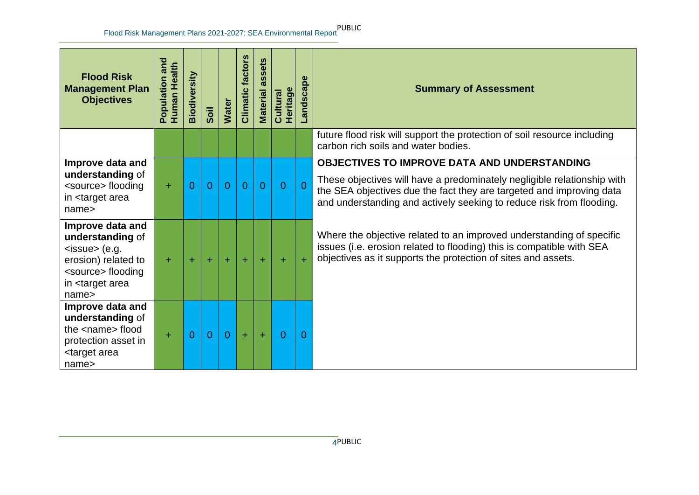| <b>Flood Risk</b><br><b>Management Plan</b><br><b>Objectives</b>                                                                                            | Population and<br>Human Health | Biodiversity   | Soil           | <b>Water</b>   | factors<br>Climatic | ssets<br>$\boldsymbol{\varpi}$<br><b>Material</b> | <b>Heritage</b><br>Cultural | Landscape      | <b>Summary of Assessment</b>                                                                                                                                                                                                                                                   |
|-------------------------------------------------------------------------------------------------------------------------------------------------------------|--------------------------------|----------------|----------------|----------------|---------------------|---------------------------------------------------|-----------------------------|----------------|--------------------------------------------------------------------------------------------------------------------------------------------------------------------------------------------------------------------------------------------------------------------------------|
|                                                                                                                                                             |                                |                |                |                |                     |                                                   |                             |                | future flood risk will support the protection of soil resource including<br>carbon rich soils and water bodies.                                                                                                                                                                |
| Improve data and<br>understanding of<br><source/> flooding<br>in <target area<br="">name<sub>&gt;</sub></target>                                            | $+$                            | $\overline{0}$ | $\overline{0}$ | $\overline{0}$ | $\overline{0}$      | $\overline{0}$                                    | $\Omega$                    | $\overline{0}$ | <b>OBJECTIVES TO IMPROVE DATA AND UNDERSTANDING</b><br>These objectives will have a predominately negligible relationship with<br>the SEA objectives due the fact they are targeted and improving data<br>and understanding and actively seeking to reduce risk from flooding. |
| Improve data and<br>understanding of<br>$<$ issue> (e.g.<br>erosion) related to<br><source/> flooding<br>in <target area<br="">name<sub>&gt;</sub></target> | ÷.                             | ÷              | ÷              | ÷              | $+$                 | $\pm$                                             | ÷                           | $\pm$          | Where the objective related to an improved understanding of specific<br>issues (i.e. erosion related to flooding) this is compatible with SEA<br>objectives as it supports the protection of sites and assets.                                                                 |
| Improve data and<br>understanding of<br>the <name> flood<br/>protection asset in<br/><target area<br="">name<sub>&gt;</sub></target></name>                 | ÷                              | 0              | $\overline{0}$ | $\overline{0}$ | $\pm$               | $\pm$                                             | 0                           | 0              |                                                                                                                                                                                                                                                                                |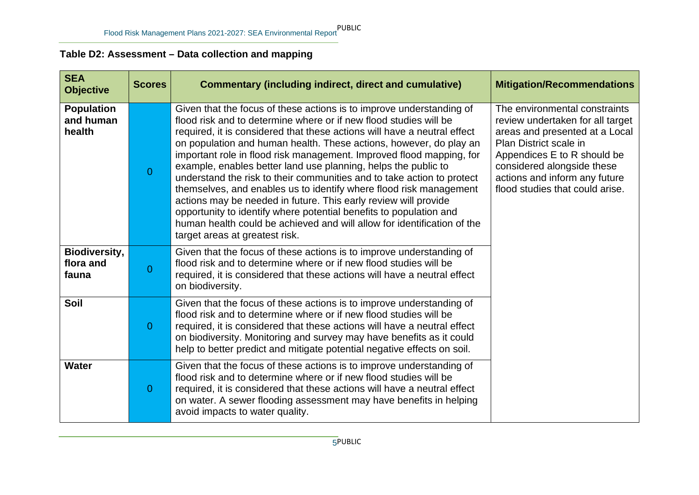## **Table D2: Assessment – Data collection and mapping**

| <b>SEA</b><br><b>Objective</b>             | <b>Scores</b>  | <b>Commentary (including indirect, direct and cumulative)</b>                                                                                                                                                                                                                                                                                                                                                                                                                                                                                                                                                                                                                                                                                                                                                                               | <b>Mitigation/Recommendations</b>                                                                                                                                                                                                                              |
|--------------------------------------------|----------------|---------------------------------------------------------------------------------------------------------------------------------------------------------------------------------------------------------------------------------------------------------------------------------------------------------------------------------------------------------------------------------------------------------------------------------------------------------------------------------------------------------------------------------------------------------------------------------------------------------------------------------------------------------------------------------------------------------------------------------------------------------------------------------------------------------------------------------------------|----------------------------------------------------------------------------------------------------------------------------------------------------------------------------------------------------------------------------------------------------------------|
| <b>Population</b><br>and human<br>health   | $\overline{0}$ | Given that the focus of these actions is to improve understanding of<br>flood risk and to determine where or if new flood studies will be<br>required, it is considered that these actions will have a neutral effect<br>on population and human health. These actions, however, do play an<br>important role in flood risk management. Improved flood mapping, for<br>example, enables better land use planning, helps the public to<br>understand the risk to their communities and to take action to protect<br>themselves, and enables us to identify where flood risk management<br>actions may be needed in future. This early review will provide<br>opportunity to identify where potential benefits to population and<br>human health could be achieved and will allow for identification of the<br>target areas at greatest risk. | The environmental constraints<br>review undertaken for all target<br>areas and presented at a Local<br>Plan District scale in<br>Appendices E to R should be<br>considered alongside these<br>actions and inform any future<br>flood studies that could arise. |
| <b>Biodiversity,</b><br>flora and<br>fauna | $\overline{0}$ | Given that the focus of these actions is to improve understanding of<br>flood risk and to determine where or if new flood studies will be<br>required, it is considered that these actions will have a neutral effect<br>on biodiversity.                                                                                                                                                                                                                                                                                                                                                                                                                                                                                                                                                                                                   |                                                                                                                                                                                                                                                                |
| Soil                                       | $\overline{0}$ | Given that the focus of these actions is to improve understanding of<br>flood risk and to determine where or if new flood studies will be<br>required, it is considered that these actions will have a neutral effect<br>on biodiversity. Monitoring and survey may have benefits as it could<br>help to better predict and mitigate potential negative effects on soil.                                                                                                                                                                                                                                                                                                                                                                                                                                                                    |                                                                                                                                                                                                                                                                |
| <b>Water</b>                               | $\overline{0}$ | Given that the focus of these actions is to improve understanding of<br>flood risk and to determine where or if new flood studies will be<br>required, it is considered that these actions will have a neutral effect<br>on water. A sewer flooding assessment may have benefits in helping<br>avoid impacts to water quality.                                                                                                                                                                                                                                                                                                                                                                                                                                                                                                              |                                                                                                                                                                                                                                                                |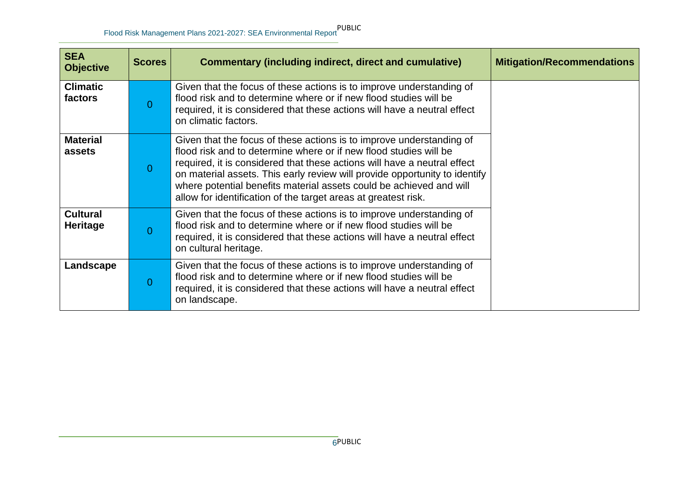| <b>SEA</b><br><b>Objective</b>     | <b>Scores</b> | <b>Commentary (including indirect, direct and cumulative)</b>                                                                                                                                                                                                                                                                                                                                                                                | <b>Mitigation/Recommendations</b> |
|------------------------------------|---------------|----------------------------------------------------------------------------------------------------------------------------------------------------------------------------------------------------------------------------------------------------------------------------------------------------------------------------------------------------------------------------------------------------------------------------------------------|-----------------------------------|
| <b>Climatic</b><br>factors         | $\Omega$      | Given that the focus of these actions is to improve understanding of<br>flood risk and to determine where or if new flood studies will be<br>required, it is considered that these actions will have a neutral effect<br>on climatic factors.                                                                                                                                                                                                |                                   |
| <b>Material</b><br>assets          | $\Omega$      | Given that the focus of these actions is to improve understanding of<br>flood risk and to determine where or if new flood studies will be<br>required, it is considered that these actions will have a neutral effect<br>on material assets. This early review will provide opportunity to identify<br>where potential benefits material assets could be achieved and will<br>allow for identification of the target areas at greatest risk. |                                   |
| <b>Cultural</b><br><b>Heritage</b> | $\Omega$      | Given that the focus of these actions is to improve understanding of<br>flood risk and to determine where or if new flood studies will be<br>required, it is considered that these actions will have a neutral effect<br>on cultural heritage.                                                                                                                                                                                               |                                   |
| Landscape                          | $\Omega$      | Given that the focus of these actions is to improve understanding of<br>flood risk and to determine where or if new flood studies will be<br>required, it is considered that these actions will have a neutral effect<br>on landscape.                                                                                                                                                                                                       |                                   |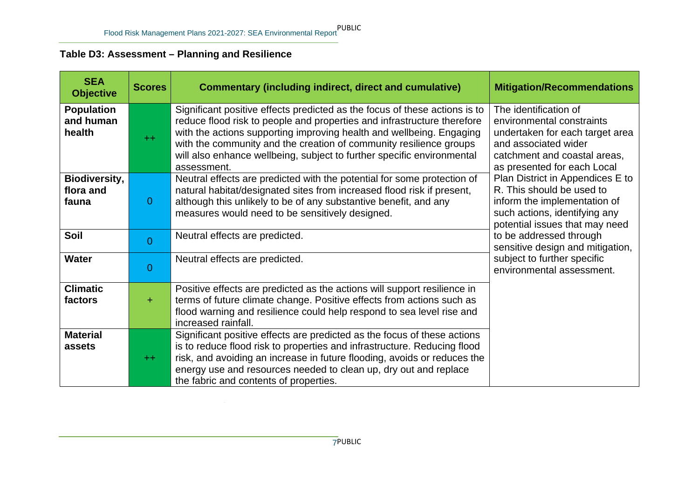# **Table D3: Assessment – Planning and Resilience**

| <b>SEA</b><br><b>Objective</b>             | <b>Scores</b>  | <b>Commentary (including indirect, direct and cumulative)</b>                                                                                                                                                                                                                                                                                                                                | <b>Mitigation/Recommendations</b>                                                                                                                                            |
|--------------------------------------------|----------------|----------------------------------------------------------------------------------------------------------------------------------------------------------------------------------------------------------------------------------------------------------------------------------------------------------------------------------------------------------------------------------------------|------------------------------------------------------------------------------------------------------------------------------------------------------------------------------|
| <b>Population</b><br>and human<br>health   | $++$           | Significant positive effects predicted as the focus of these actions is to<br>reduce flood risk to people and properties and infrastructure therefore<br>with the actions supporting improving health and wellbeing. Engaging<br>with the community and the creation of community resilience groups<br>will also enhance wellbeing, subject to further specific environmental<br>assessment. | The identification of<br>environmental constraints<br>undertaken for each target area<br>and associated wider<br>catchment and coastal areas,<br>as presented for each Local |
| <b>Biodiversity,</b><br>flora and<br>fauna | $\overline{0}$ | Neutral effects are predicted with the potential for some protection of<br>natural habitat/designated sites from increased flood risk if present,<br>although this unlikely to be of any substantive benefit, and any<br>measures would need to be sensitively designed.                                                                                                                     | Plan District in Appendices E to<br>R. This should be used to<br>inform the implementation of<br>such actions, identifying any<br>potential issues that may need             |
| Soil                                       | $\overline{0}$ | Neutral effects are predicted.                                                                                                                                                                                                                                                                                                                                                               | to be addressed through<br>sensitive design and mitigation,                                                                                                                  |
| <b>Water</b>                               | $\overline{0}$ | Neutral effects are predicted.                                                                                                                                                                                                                                                                                                                                                               | subject to further specific<br>environmental assessment.                                                                                                                     |
| <b>Climatic</b><br>factors                 | $+$            | Positive effects are predicted as the actions will support resilience in<br>terms of future climate change. Positive effects from actions such as<br>flood warning and resilience could help respond to sea level rise and<br>increased rainfall.                                                                                                                                            |                                                                                                                                                                              |
| <b>Material</b><br>assets                  | $++$           | Significant positive effects are predicted as the focus of these actions<br>is to reduce flood risk to properties and infrastructure. Reducing flood<br>risk, and avoiding an increase in future flooding, avoids or reduces the<br>energy use and resources needed to clean up, dry out and replace<br>the fabric and contents of properties.                                               |                                                                                                                                                                              |